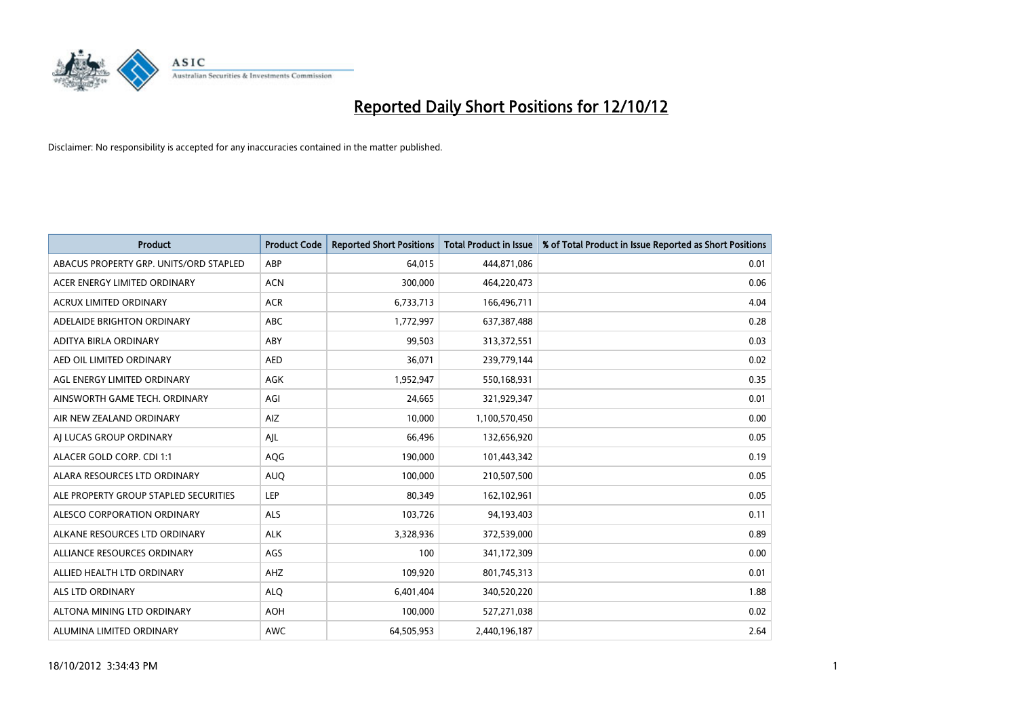

| <b>Product</b>                         | <b>Product Code</b> | <b>Reported Short Positions</b> | <b>Total Product in Issue</b> | % of Total Product in Issue Reported as Short Positions |
|----------------------------------------|---------------------|---------------------------------|-------------------------------|---------------------------------------------------------|
| ABACUS PROPERTY GRP. UNITS/ORD STAPLED | ABP                 | 64,015                          | 444,871,086                   | 0.01                                                    |
| ACER ENERGY LIMITED ORDINARY           | <b>ACN</b>          | 300,000                         | 464,220,473                   | 0.06                                                    |
| <b>ACRUX LIMITED ORDINARY</b>          | <b>ACR</b>          | 6,733,713                       | 166,496,711                   | 4.04                                                    |
| ADELAIDE BRIGHTON ORDINARY             | ABC                 | 1,772,997                       | 637,387,488                   | 0.28                                                    |
| ADITYA BIRLA ORDINARY                  | ABY                 | 99,503                          | 313,372,551                   | 0.03                                                    |
| AED OIL LIMITED ORDINARY               | <b>AED</b>          | 36,071                          | 239,779,144                   | 0.02                                                    |
| AGL ENERGY LIMITED ORDINARY            | <b>AGK</b>          | 1,952,947                       | 550,168,931                   | 0.35                                                    |
| AINSWORTH GAME TECH, ORDINARY          | AGI                 | 24,665                          | 321,929,347                   | 0.01                                                    |
| AIR NEW ZEALAND ORDINARY               | AIZ                 | 10,000                          | 1,100,570,450                 | 0.00                                                    |
| AI LUCAS GROUP ORDINARY                | AJL                 | 66,496                          | 132,656,920                   | 0.05                                                    |
| ALACER GOLD CORP. CDI 1:1              | AQG                 | 190,000                         | 101,443,342                   | 0.19                                                    |
| ALARA RESOURCES LTD ORDINARY           | <b>AUQ</b>          | 100,000                         | 210,507,500                   | 0.05                                                    |
| ALE PROPERTY GROUP STAPLED SECURITIES  | LEP                 | 80,349                          | 162,102,961                   | 0.05                                                    |
| ALESCO CORPORATION ORDINARY            | <b>ALS</b>          | 103,726                         | 94,193,403                    | 0.11                                                    |
| ALKANE RESOURCES LTD ORDINARY          | <b>ALK</b>          | 3,328,936                       | 372,539,000                   | 0.89                                                    |
| ALLIANCE RESOURCES ORDINARY            | AGS                 | 100                             | 341,172,309                   | 0.00                                                    |
| ALLIED HEALTH LTD ORDINARY             | AHZ                 | 109,920                         | 801,745,313                   | 0.01                                                    |
| <b>ALS LTD ORDINARY</b>                | <b>ALQ</b>          | 6,401,404                       | 340,520,220                   | 1.88                                                    |
| ALTONA MINING LTD ORDINARY             | <b>AOH</b>          | 100,000                         | 527,271,038                   | 0.02                                                    |
| ALUMINA LIMITED ORDINARY               | <b>AWC</b>          | 64,505,953                      | 2,440,196,187                 | 2.64                                                    |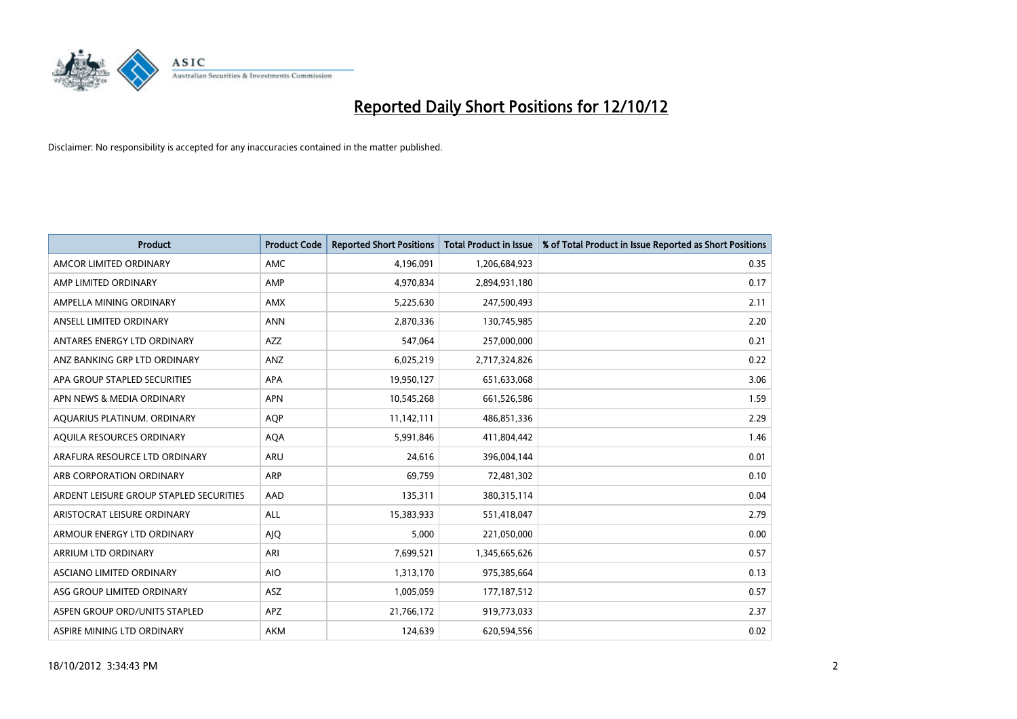

| <b>Product</b>                          | <b>Product Code</b> | <b>Reported Short Positions</b> | <b>Total Product in Issue</b> | % of Total Product in Issue Reported as Short Positions |
|-----------------------------------------|---------------------|---------------------------------|-------------------------------|---------------------------------------------------------|
| AMCOR LIMITED ORDINARY                  | <b>AMC</b>          | 4,196,091                       | 1,206,684,923                 | 0.35                                                    |
| AMP LIMITED ORDINARY                    | AMP                 | 4,970,834                       | 2,894,931,180                 | 0.17                                                    |
| AMPELLA MINING ORDINARY                 | AMX                 | 5,225,630                       | 247,500,493                   | 2.11                                                    |
| ANSELL LIMITED ORDINARY                 | <b>ANN</b>          | 2,870,336                       | 130,745,985                   | 2.20                                                    |
| ANTARES ENERGY LTD ORDINARY             | <b>AZZ</b>          | 547.064                         | 257,000,000                   | 0.21                                                    |
| ANZ BANKING GRP LTD ORDINARY            | ANZ                 | 6,025,219                       | 2,717,324,826                 | 0.22                                                    |
| APA GROUP STAPLED SECURITIES            | <b>APA</b>          | 19,950,127                      | 651,633,068                   | 3.06                                                    |
| APN NEWS & MEDIA ORDINARY               | <b>APN</b>          | 10,545,268                      | 661,526,586                   | 1.59                                                    |
| AQUARIUS PLATINUM. ORDINARY             | <b>AOP</b>          | 11,142,111                      | 486,851,336                   | 2.29                                                    |
| AOUILA RESOURCES ORDINARY               | <b>AQA</b>          | 5,991,846                       | 411,804,442                   | 1.46                                                    |
| ARAFURA RESOURCE LTD ORDINARY           | <b>ARU</b>          | 24,616                          | 396,004,144                   | 0.01                                                    |
| ARB CORPORATION ORDINARY                | <b>ARP</b>          | 69,759                          | 72,481,302                    | 0.10                                                    |
| ARDENT LEISURE GROUP STAPLED SECURITIES | AAD                 | 135,311                         | 380, 315, 114                 | 0.04                                                    |
| ARISTOCRAT LEISURE ORDINARY             | <b>ALL</b>          | 15,383,933                      | 551,418,047                   | 2.79                                                    |
| ARMOUR ENERGY LTD ORDINARY              | AJQ                 | 5,000                           | 221,050,000                   | 0.00                                                    |
| ARRIUM LTD ORDINARY                     | ARI                 | 7,699,521                       | 1,345,665,626                 | 0.57                                                    |
| ASCIANO LIMITED ORDINARY                | <b>AIO</b>          | 1,313,170                       | 975,385,664                   | 0.13                                                    |
| ASG GROUP LIMITED ORDINARY              | <b>ASZ</b>          | 1,005,059                       | 177,187,512                   | 0.57                                                    |
| ASPEN GROUP ORD/UNITS STAPLED           | <b>APZ</b>          | 21,766,172                      | 919,773,033                   | 2.37                                                    |
| ASPIRE MINING LTD ORDINARY              | <b>AKM</b>          | 124,639                         | 620.594.556                   | 0.02                                                    |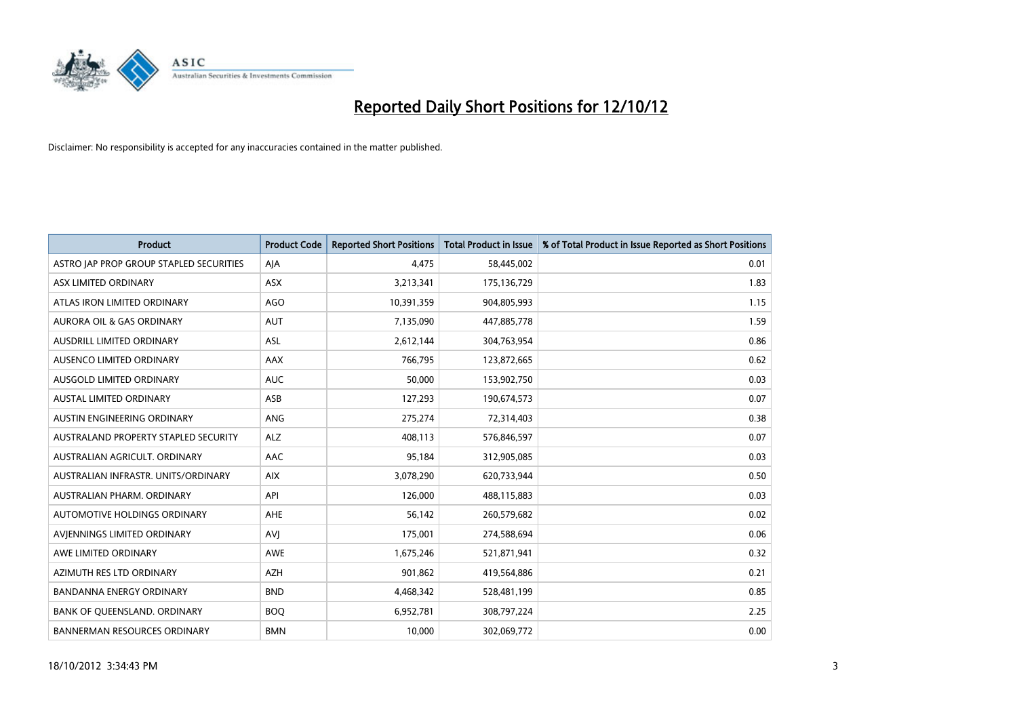

| <b>Product</b>                          | <b>Product Code</b> | <b>Reported Short Positions</b> | Total Product in Issue | % of Total Product in Issue Reported as Short Positions |
|-----------------------------------------|---------------------|---------------------------------|------------------------|---------------------------------------------------------|
| ASTRO JAP PROP GROUP STAPLED SECURITIES | AIA                 | 4.475                           | 58,445,002             | 0.01                                                    |
| ASX LIMITED ORDINARY                    | ASX                 | 3,213,341                       | 175,136,729            | 1.83                                                    |
| ATLAS IRON LIMITED ORDINARY             | <b>AGO</b>          | 10,391,359                      | 904,805,993            | 1.15                                                    |
| AURORA OIL & GAS ORDINARY               | <b>AUT</b>          | 7,135,090                       | 447,885,778            | 1.59                                                    |
| AUSDRILL LIMITED ORDINARY               | <b>ASL</b>          | 2,612,144                       | 304,763,954            | 0.86                                                    |
| AUSENCO LIMITED ORDINARY                | AAX                 | 766,795                         | 123,872,665            | 0.62                                                    |
| AUSGOLD LIMITED ORDINARY                | <b>AUC</b>          | 50,000                          | 153,902,750            | 0.03                                                    |
| <b>AUSTAL LIMITED ORDINARY</b>          | ASB                 | 127,293                         | 190,674,573            | 0.07                                                    |
| AUSTIN ENGINEERING ORDINARY             | ANG                 | 275,274                         | 72,314,403             | 0.38                                                    |
| AUSTRALAND PROPERTY STAPLED SECURITY    | <b>ALZ</b>          | 408,113                         | 576,846,597            | 0.07                                                    |
| AUSTRALIAN AGRICULT, ORDINARY           | AAC                 | 95,184                          | 312,905,085            | 0.03                                                    |
| AUSTRALIAN INFRASTR, UNITS/ORDINARY     | <b>AIX</b>          | 3,078,290                       | 620,733,944            | 0.50                                                    |
| AUSTRALIAN PHARM. ORDINARY              | API                 | 126.000                         | 488,115,883            | 0.03                                                    |
| AUTOMOTIVE HOLDINGS ORDINARY            | AHE                 | 56,142                          | 260,579,682            | 0.02                                                    |
| AVIENNINGS LIMITED ORDINARY             | AVI                 | 175,001                         | 274,588,694            | 0.06                                                    |
| AWE LIMITED ORDINARY                    | AWE                 | 1,675,246                       | 521,871,941            | 0.32                                                    |
| AZIMUTH RES LTD ORDINARY                | <b>AZH</b>          | 901,862                         | 419,564,886            | 0.21                                                    |
| <b>BANDANNA ENERGY ORDINARY</b>         | <b>BND</b>          | 4,468,342                       | 528,481,199            | 0.85                                                    |
| BANK OF QUEENSLAND. ORDINARY            | <b>BOQ</b>          | 6,952,781                       | 308,797,224            | 2.25                                                    |
| <b>BANNERMAN RESOURCES ORDINARY</b>     | <b>BMN</b>          | 10,000                          | 302,069,772            | 0.00                                                    |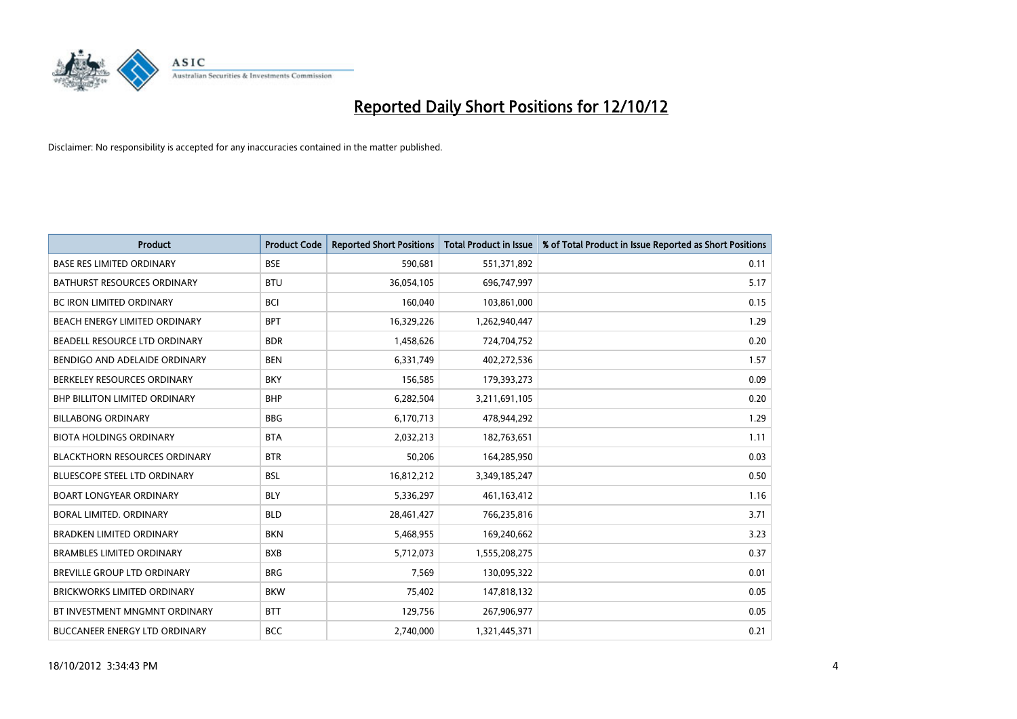

| <b>Product</b>                       | <b>Product Code</b> | <b>Reported Short Positions</b> | <b>Total Product in Issue</b> | % of Total Product in Issue Reported as Short Positions |
|--------------------------------------|---------------------|---------------------------------|-------------------------------|---------------------------------------------------------|
| <b>BASE RES LIMITED ORDINARY</b>     | <b>BSE</b>          | 590,681                         | 551,371,892                   | 0.11                                                    |
| BATHURST RESOURCES ORDINARY          | <b>BTU</b>          | 36,054,105                      | 696,747,997                   | 5.17                                                    |
| BC IRON LIMITED ORDINARY             | <b>BCI</b>          | 160,040                         | 103,861,000                   | 0.15                                                    |
| <b>BEACH ENERGY LIMITED ORDINARY</b> | <b>BPT</b>          | 16,329,226                      | 1,262,940,447                 | 1.29                                                    |
| BEADELL RESOURCE LTD ORDINARY        | <b>BDR</b>          | 1,458,626                       | 724,704,752                   | 0.20                                                    |
| BENDIGO AND ADELAIDE ORDINARY        | <b>BEN</b>          | 6,331,749                       | 402,272,536                   | 1.57                                                    |
| BERKELEY RESOURCES ORDINARY          | <b>BKY</b>          | 156,585                         | 179,393,273                   | 0.09                                                    |
| <b>BHP BILLITON LIMITED ORDINARY</b> | <b>BHP</b>          | 6,282,504                       | 3,211,691,105                 | 0.20                                                    |
| <b>BILLABONG ORDINARY</b>            | <b>BBG</b>          | 6,170,713                       | 478,944,292                   | 1.29                                                    |
| <b>BIOTA HOLDINGS ORDINARY</b>       | <b>BTA</b>          | 2,032,213                       | 182,763,651                   | 1.11                                                    |
| <b>BLACKTHORN RESOURCES ORDINARY</b> | <b>BTR</b>          | 50,206                          | 164,285,950                   | 0.03                                                    |
| BLUESCOPE STEEL LTD ORDINARY         | <b>BSL</b>          | 16,812,212                      | 3,349,185,247                 | 0.50                                                    |
| <b>BOART LONGYEAR ORDINARY</b>       | <b>BLY</b>          | 5,336,297                       | 461,163,412                   | 1.16                                                    |
| <b>BORAL LIMITED, ORDINARY</b>       | <b>BLD</b>          | 28,461,427                      | 766,235,816                   | 3.71                                                    |
| <b>BRADKEN LIMITED ORDINARY</b>      | <b>BKN</b>          | 5,468,955                       | 169,240,662                   | 3.23                                                    |
| <b>BRAMBLES LIMITED ORDINARY</b>     | <b>BXB</b>          | 5,712,073                       | 1,555,208,275                 | 0.37                                                    |
| <b>BREVILLE GROUP LTD ORDINARY</b>   | <b>BRG</b>          | 7,569                           | 130,095,322                   | 0.01                                                    |
| BRICKWORKS LIMITED ORDINARY          | <b>BKW</b>          | 75,402                          | 147,818,132                   | 0.05                                                    |
| BT INVESTMENT MNGMNT ORDINARY        | <b>BTT</b>          | 129,756                         | 267,906,977                   | 0.05                                                    |
| BUCCANEER ENERGY LTD ORDINARY        | <b>BCC</b>          | 2,740,000                       | 1,321,445,371                 | 0.21                                                    |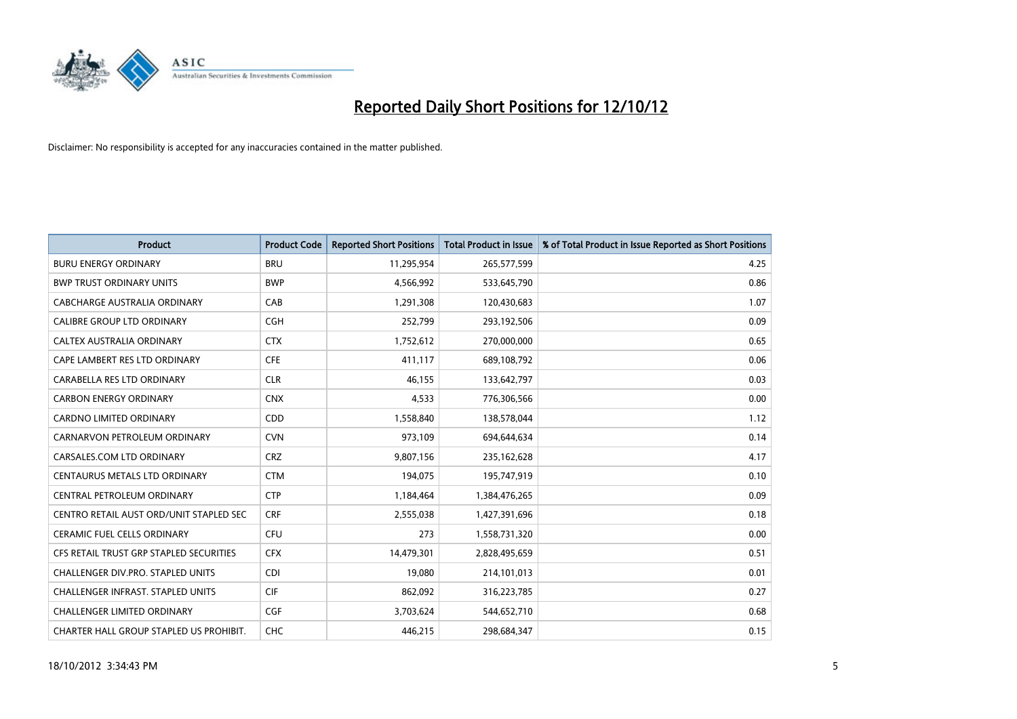

| <b>Product</b>                          | <b>Product Code</b> | <b>Reported Short Positions</b> | Total Product in Issue | % of Total Product in Issue Reported as Short Positions |
|-----------------------------------------|---------------------|---------------------------------|------------------------|---------------------------------------------------------|
| <b>BURU ENERGY ORDINARY</b>             | <b>BRU</b>          | 11,295,954                      | 265,577,599            | 4.25                                                    |
| <b>BWP TRUST ORDINARY UNITS</b>         | <b>BWP</b>          | 4,566,992                       | 533,645,790            | 0.86                                                    |
| CABCHARGE AUSTRALIA ORDINARY            | CAB                 | 1,291,308                       | 120,430,683            | 1.07                                                    |
| CALIBRE GROUP LTD ORDINARY              | <b>CGH</b>          | 252,799                         | 293,192,506            | 0.09                                                    |
| CALTEX AUSTRALIA ORDINARY               | <b>CTX</b>          | 1,752,612                       | 270,000,000            | 0.65                                                    |
| CAPE LAMBERT RES LTD ORDINARY           | <b>CFE</b>          | 411,117                         | 689,108,792            | 0.06                                                    |
| CARABELLA RES LTD ORDINARY              | <b>CLR</b>          | 46.155                          | 133,642,797            | 0.03                                                    |
| <b>CARBON ENERGY ORDINARY</b>           | <b>CNX</b>          | 4,533                           | 776,306,566            | 0.00                                                    |
| <b>CARDNO LIMITED ORDINARY</b>          | <b>CDD</b>          | 1,558,840                       | 138,578,044            | 1.12                                                    |
| CARNARVON PETROLEUM ORDINARY            | <b>CVN</b>          | 973,109                         | 694,644,634            | 0.14                                                    |
| CARSALES.COM LTD ORDINARY               | <b>CRZ</b>          | 9,807,156                       | 235,162,628            | 4.17                                                    |
| CENTAURUS METALS LTD ORDINARY           | <b>CTM</b>          | 194,075                         | 195,747,919            | 0.10                                                    |
| CENTRAL PETROLEUM ORDINARY              | <b>CTP</b>          | 1,184,464                       | 1,384,476,265          | 0.09                                                    |
| CENTRO RETAIL AUST ORD/UNIT STAPLED SEC | <b>CRF</b>          | 2,555,038                       | 1,427,391,696          | 0.18                                                    |
| <b>CERAMIC FUEL CELLS ORDINARY</b>      | <b>CFU</b>          | 273                             | 1,558,731,320          | 0.00                                                    |
| CFS RETAIL TRUST GRP STAPLED SECURITIES | <b>CFX</b>          | 14,479,301                      | 2,828,495,659          | 0.51                                                    |
| CHALLENGER DIV.PRO. STAPLED UNITS       | <b>CDI</b>          | 19,080                          | 214,101,013            | 0.01                                                    |
| CHALLENGER INFRAST. STAPLED UNITS       | <b>CIF</b>          | 862,092                         | 316,223,785            | 0.27                                                    |
| <b>CHALLENGER LIMITED ORDINARY</b>      | <b>CGF</b>          | 3,703,624                       | 544,652,710            | 0.68                                                    |
| CHARTER HALL GROUP STAPLED US PROHIBIT. | <b>CHC</b>          | 446.215                         | 298,684,347            | 0.15                                                    |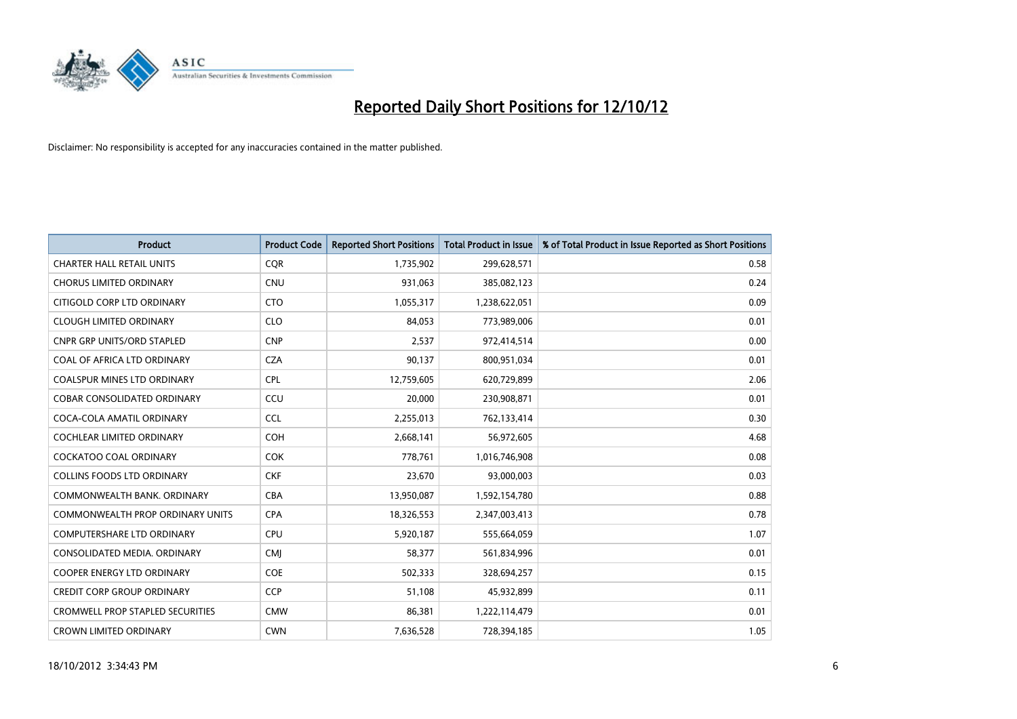

| <b>Product</b>                          | <b>Product Code</b> | <b>Reported Short Positions</b> | <b>Total Product in Issue</b> | % of Total Product in Issue Reported as Short Positions |
|-----------------------------------------|---------------------|---------------------------------|-------------------------------|---------------------------------------------------------|
| <b>CHARTER HALL RETAIL UNITS</b>        | <b>CQR</b>          | 1,735,902                       | 299,628,571                   | 0.58                                                    |
| <b>CHORUS LIMITED ORDINARY</b>          | <b>CNU</b>          | 931,063                         | 385,082,123                   | 0.24                                                    |
| CITIGOLD CORP LTD ORDINARY              | <b>CTO</b>          | 1,055,317                       | 1,238,622,051                 | 0.09                                                    |
| <b>CLOUGH LIMITED ORDINARY</b>          | <b>CLO</b>          | 84,053                          | 773,989,006                   | 0.01                                                    |
| <b>CNPR GRP UNITS/ORD STAPLED</b>       | <b>CNP</b>          | 2,537                           | 972,414,514                   | 0.00                                                    |
| COAL OF AFRICA LTD ORDINARY             | <b>CZA</b>          | 90,137                          | 800,951,034                   | 0.01                                                    |
| <b>COALSPUR MINES LTD ORDINARY</b>      | <b>CPL</b>          | 12,759,605                      | 620,729,899                   | 2.06                                                    |
| COBAR CONSOLIDATED ORDINARY             | CCU                 | 20,000                          | 230,908,871                   | 0.01                                                    |
| COCA-COLA AMATIL ORDINARY               | <b>CCL</b>          | 2,255,013                       | 762,133,414                   | 0.30                                                    |
| <b>COCHLEAR LIMITED ORDINARY</b>        | COH                 | 2,668,141                       | 56,972,605                    | 4.68                                                    |
| <b>COCKATOO COAL ORDINARY</b>           | <b>COK</b>          | 778,761                         | 1,016,746,908                 | 0.08                                                    |
| <b>COLLINS FOODS LTD ORDINARY</b>       | <b>CKF</b>          | 23,670                          | 93,000,003                    | 0.03                                                    |
| COMMONWEALTH BANK, ORDINARY             | <b>CBA</b>          | 13,950,087                      | 1,592,154,780                 | 0.88                                                    |
| <b>COMMONWEALTH PROP ORDINARY UNITS</b> | <b>CPA</b>          | 18,326,553                      | 2,347,003,413                 | 0.78                                                    |
| <b>COMPUTERSHARE LTD ORDINARY</b>       | <b>CPU</b>          | 5,920,187                       | 555,664,059                   | 1.07                                                    |
| CONSOLIDATED MEDIA. ORDINARY            | <b>CMI</b>          | 58,377                          | 561,834,996                   | 0.01                                                    |
| <b>COOPER ENERGY LTD ORDINARY</b>       | <b>COE</b>          | 502,333                         | 328,694,257                   | 0.15                                                    |
| <b>CREDIT CORP GROUP ORDINARY</b>       | <b>CCP</b>          | 51,108                          | 45,932,899                    | 0.11                                                    |
| <b>CROMWELL PROP STAPLED SECURITIES</b> | <b>CMW</b>          | 86,381                          | 1,222,114,479                 | 0.01                                                    |
| <b>CROWN LIMITED ORDINARY</b>           | <b>CWN</b>          | 7,636,528                       | 728,394,185                   | 1.05                                                    |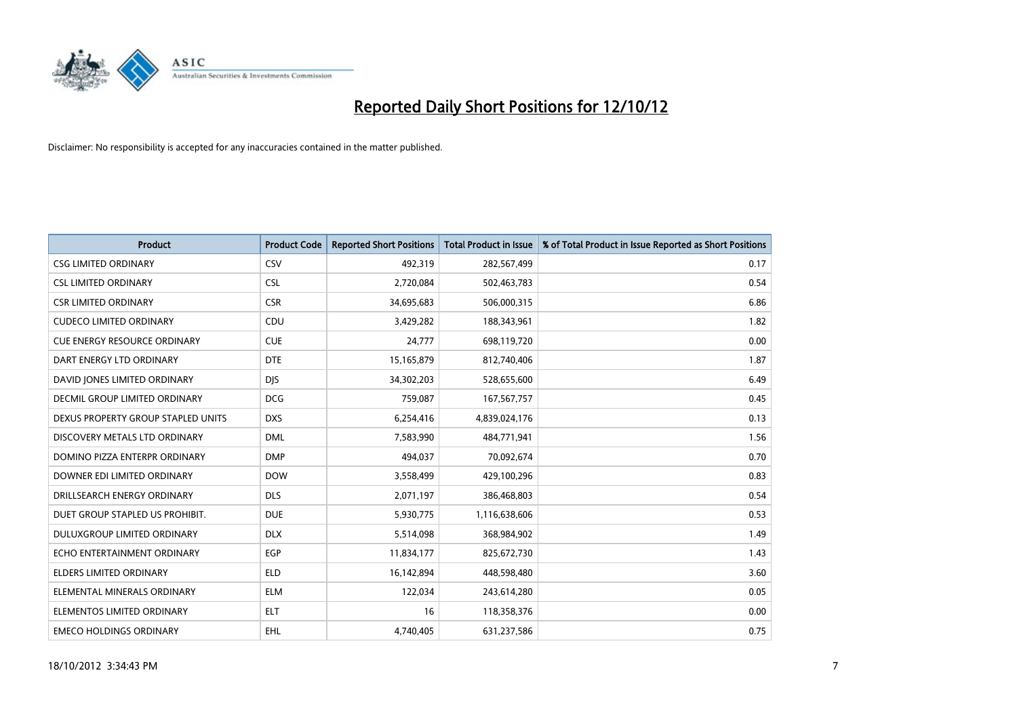

| <b>Product</b>                      | <b>Product Code</b> | <b>Reported Short Positions</b> | <b>Total Product in Issue</b> | % of Total Product in Issue Reported as Short Positions |
|-------------------------------------|---------------------|---------------------------------|-------------------------------|---------------------------------------------------------|
| <b>CSG LIMITED ORDINARY</b>         | CSV                 | 492,319                         | 282,567,499                   | 0.17                                                    |
| <b>CSL LIMITED ORDINARY</b>         | <b>CSL</b>          | 2,720,084                       | 502,463,783                   | 0.54                                                    |
| <b>CSR LIMITED ORDINARY</b>         | <b>CSR</b>          | 34,695,683                      | 506,000,315                   | 6.86                                                    |
| <b>CUDECO LIMITED ORDINARY</b>      | CDU                 | 3,429,282                       | 188,343,961                   | 1.82                                                    |
| <b>CUE ENERGY RESOURCE ORDINARY</b> | <b>CUE</b>          | 24,777                          | 698,119,720                   | 0.00                                                    |
| DART ENERGY LTD ORDINARY            | <b>DTE</b>          | 15,165,879                      | 812,740,406                   | 1.87                                                    |
| DAVID JONES LIMITED ORDINARY        | <b>DIS</b>          | 34,302,203                      | 528,655,600                   | 6.49                                                    |
| DECMIL GROUP LIMITED ORDINARY       | <b>DCG</b>          | 759,087                         | 167,567,757                   | 0.45                                                    |
| DEXUS PROPERTY GROUP STAPLED UNITS  | <b>DXS</b>          | 6,254,416                       | 4,839,024,176                 | 0.13                                                    |
| DISCOVERY METALS LTD ORDINARY       | <b>DML</b>          | 7,583,990                       | 484,771,941                   | 1.56                                                    |
| DOMINO PIZZA ENTERPR ORDINARY       | <b>DMP</b>          | 494,037                         | 70,092,674                    | 0.70                                                    |
| DOWNER EDI LIMITED ORDINARY         | <b>DOW</b>          | 3,558,499                       | 429,100,296                   | 0.83                                                    |
| DRILLSEARCH ENERGY ORDINARY         | <b>DLS</b>          | 2,071,197                       | 386,468,803                   | 0.54                                                    |
| DUET GROUP STAPLED US PROHIBIT.     | <b>DUE</b>          | 5,930,775                       | 1,116,638,606                 | 0.53                                                    |
| DULUXGROUP LIMITED ORDINARY         | <b>DLX</b>          | 5,514,098                       | 368,984,902                   | 1.49                                                    |
| ECHO ENTERTAINMENT ORDINARY         | <b>EGP</b>          | 11,834,177                      | 825,672,730                   | 1.43                                                    |
| ELDERS LIMITED ORDINARY             | <b>ELD</b>          | 16,142,894                      | 448,598,480                   | 3.60                                                    |
| ELEMENTAL MINERALS ORDINARY         | <b>ELM</b>          | 122,034                         | 243,614,280                   | 0.05                                                    |
| ELEMENTOS LIMITED ORDINARY          | <b>ELT</b>          | 16                              | 118,358,376                   | 0.00                                                    |
| <b>EMECO HOLDINGS ORDINARY</b>      | <b>EHL</b>          | 4,740,405                       | 631,237,586                   | 0.75                                                    |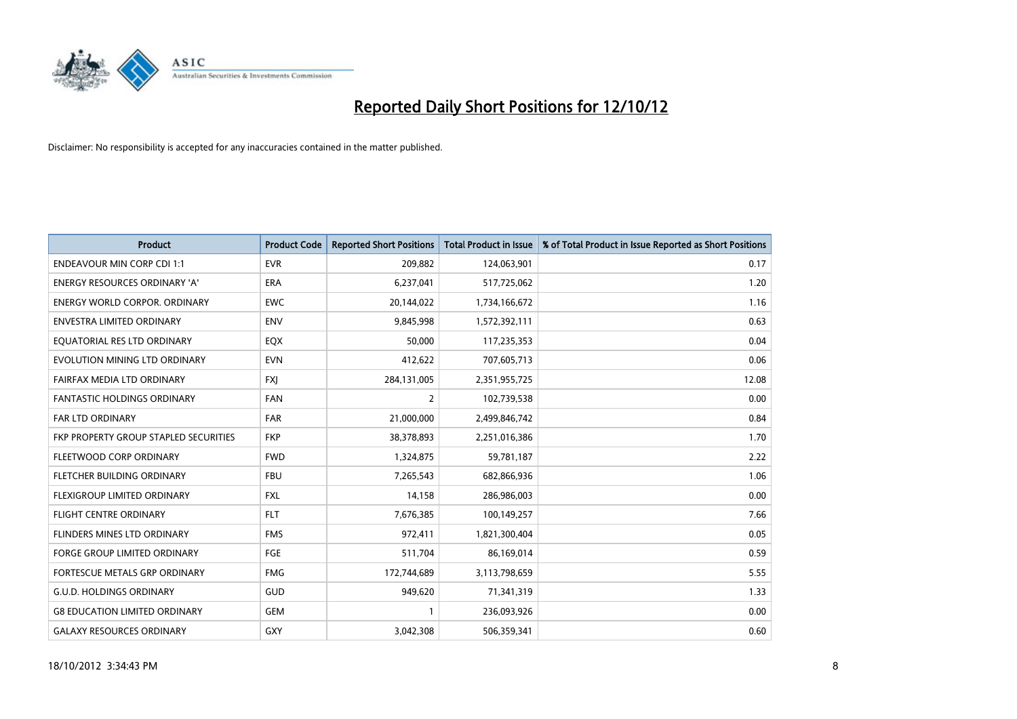

| <b>Product</b>                        | <b>Product Code</b> | <b>Reported Short Positions</b> | Total Product in Issue | % of Total Product in Issue Reported as Short Positions |
|---------------------------------------|---------------------|---------------------------------|------------------------|---------------------------------------------------------|
| <b>ENDEAVOUR MIN CORP CDI 1:1</b>     | <b>EVR</b>          | 209,882                         | 124,063,901            | 0.17                                                    |
| ENERGY RESOURCES ORDINARY 'A'         | <b>ERA</b>          | 6,237,041                       | 517,725,062            | 1.20                                                    |
| <b>ENERGY WORLD CORPOR, ORDINARY</b>  | <b>EWC</b>          | 20,144,022                      | 1,734,166,672          | 1.16                                                    |
| <b>ENVESTRA LIMITED ORDINARY</b>      | <b>ENV</b>          | 9,845,998                       | 1,572,392,111          | 0.63                                                    |
| EQUATORIAL RES LTD ORDINARY           | EQX                 | 50,000                          | 117,235,353            | 0.04                                                    |
| EVOLUTION MINING LTD ORDINARY         | <b>EVN</b>          | 412,622                         | 707,605,713            | 0.06                                                    |
| FAIRFAX MEDIA LTD ORDINARY            | <b>FXI</b>          | 284,131,005                     | 2,351,955,725          | 12.08                                                   |
| <b>FANTASTIC HOLDINGS ORDINARY</b>    | <b>FAN</b>          | $\overline{2}$                  | 102,739,538            | 0.00                                                    |
| <b>FAR LTD ORDINARY</b>               | <b>FAR</b>          | 21,000,000                      | 2,499,846,742          | 0.84                                                    |
| FKP PROPERTY GROUP STAPLED SECURITIES | <b>FKP</b>          | 38,378,893                      | 2,251,016,386          | 1.70                                                    |
| FLEETWOOD CORP ORDINARY               | <b>FWD</b>          | 1,324,875                       | 59,781,187             | 2.22                                                    |
| FLETCHER BUILDING ORDINARY            | <b>FBU</b>          | 7,265,543                       | 682,866,936            | 1.06                                                    |
| FLEXIGROUP LIMITED ORDINARY           | <b>FXL</b>          | 14,158                          | 286,986,003            | 0.00                                                    |
| <b>FLIGHT CENTRE ORDINARY</b>         | <b>FLT</b>          | 7,676,385                       | 100,149,257            | 7.66                                                    |
| FLINDERS MINES LTD ORDINARY           | <b>FMS</b>          | 972,411                         | 1,821,300,404          | 0.05                                                    |
| <b>FORGE GROUP LIMITED ORDINARY</b>   | FGE                 | 511,704                         | 86,169,014             | 0.59                                                    |
| FORTESCUE METALS GRP ORDINARY         | <b>FMG</b>          | 172,744,689                     | 3,113,798,659          | 5.55                                                    |
| <b>G.U.D. HOLDINGS ORDINARY</b>       | GUD                 | 949,620                         | 71,341,319             | 1.33                                                    |
| <b>G8 EDUCATION LIMITED ORDINARY</b>  | GEM                 |                                 | 236,093,926            | 0.00                                                    |
| <b>GALAXY RESOURCES ORDINARY</b>      | <b>GXY</b>          | 3,042,308                       | 506,359,341            | 0.60                                                    |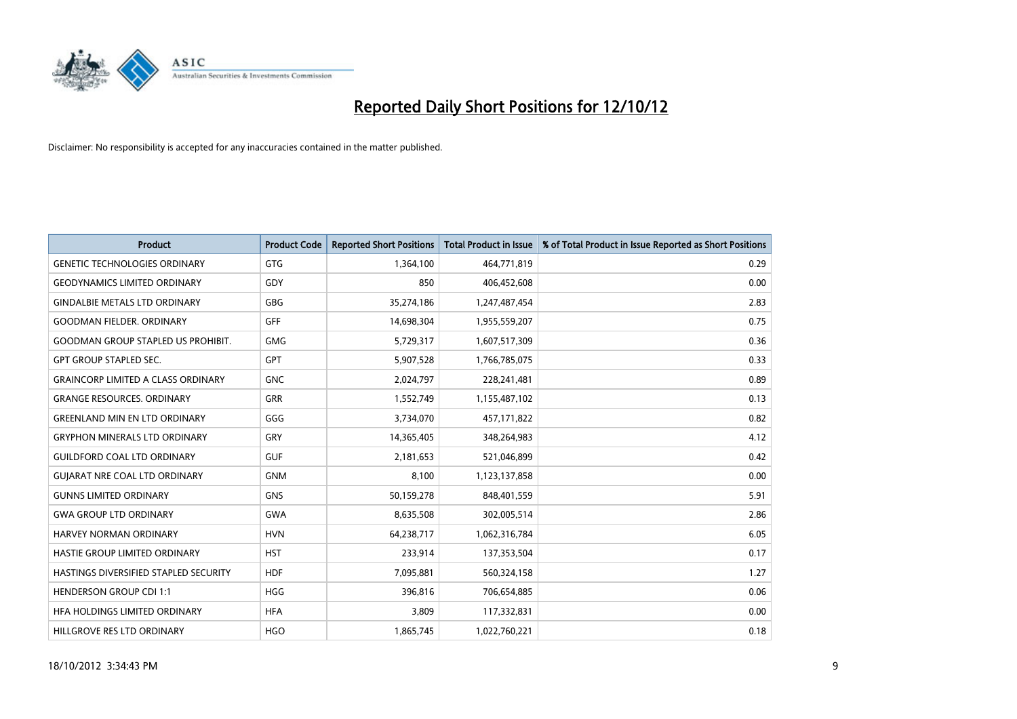

| <b>Product</b>                            | <b>Product Code</b> | <b>Reported Short Positions</b> | <b>Total Product in Issue</b> | % of Total Product in Issue Reported as Short Positions |
|-------------------------------------------|---------------------|---------------------------------|-------------------------------|---------------------------------------------------------|
| <b>GENETIC TECHNOLOGIES ORDINARY</b>      | GTG                 | 1,364,100                       | 464,771,819                   | 0.29                                                    |
| <b>GEODYNAMICS LIMITED ORDINARY</b>       | GDY                 | 850                             | 406,452,608                   | 0.00                                                    |
| <b>GINDALBIE METALS LTD ORDINARY</b>      | <b>GBG</b>          | 35,274,186                      | 1,247,487,454                 | 2.83                                                    |
| <b>GOODMAN FIELDER. ORDINARY</b>          | GFF                 | 14,698,304                      | 1,955,559,207                 | 0.75                                                    |
| <b>GOODMAN GROUP STAPLED US PROHIBIT.</b> | <b>GMG</b>          | 5,729,317                       | 1,607,517,309                 | 0.36                                                    |
| <b>GPT GROUP STAPLED SEC.</b>             | <b>GPT</b>          | 5,907,528                       | 1,766,785,075                 | 0.33                                                    |
| <b>GRAINCORP LIMITED A CLASS ORDINARY</b> | <b>GNC</b>          | 2,024,797                       | 228,241,481                   | 0.89                                                    |
| <b>GRANGE RESOURCES, ORDINARY</b>         | GRR                 | 1,552,749                       | 1,155,487,102                 | 0.13                                                    |
| <b>GREENLAND MIN EN LTD ORDINARY</b>      | GGG                 | 3,734,070                       | 457,171,822                   | 0.82                                                    |
| <b>GRYPHON MINERALS LTD ORDINARY</b>      | <b>GRY</b>          | 14,365,405                      | 348,264,983                   | 4.12                                                    |
| <b>GUILDFORD COAL LTD ORDINARY</b>        | <b>GUF</b>          | 2,181,653                       | 521,046,899                   | 0.42                                                    |
| <b>GUIARAT NRE COAL LTD ORDINARY</b>      | <b>GNM</b>          | 8.100                           | 1,123,137,858                 | 0.00                                                    |
| <b>GUNNS LIMITED ORDINARY</b>             | <b>GNS</b>          | 50,159,278                      | 848,401,559                   | 5.91                                                    |
| <b>GWA GROUP LTD ORDINARY</b>             | <b>GWA</b>          | 8,635,508                       | 302,005,514                   | 2.86                                                    |
| <b>HARVEY NORMAN ORDINARY</b>             | <b>HVN</b>          | 64,238,717                      | 1,062,316,784                 | 6.05                                                    |
| HASTIE GROUP LIMITED ORDINARY             | <b>HST</b>          | 233,914                         | 137,353,504                   | 0.17                                                    |
| HASTINGS DIVERSIFIED STAPLED SECURITY     | <b>HDF</b>          | 7,095,881                       | 560,324,158                   | 1.27                                                    |
| <b>HENDERSON GROUP CDI 1:1</b>            | <b>HGG</b>          | 396,816                         | 706,654,885                   | 0.06                                                    |
| HFA HOLDINGS LIMITED ORDINARY             | <b>HFA</b>          | 3.809                           | 117,332,831                   | 0.00                                                    |
| HILLGROVE RES LTD ORDINARY                | <b>HGO</b>          | 1,865,745                       | 1,022,760,221                 | 0.18                                                    |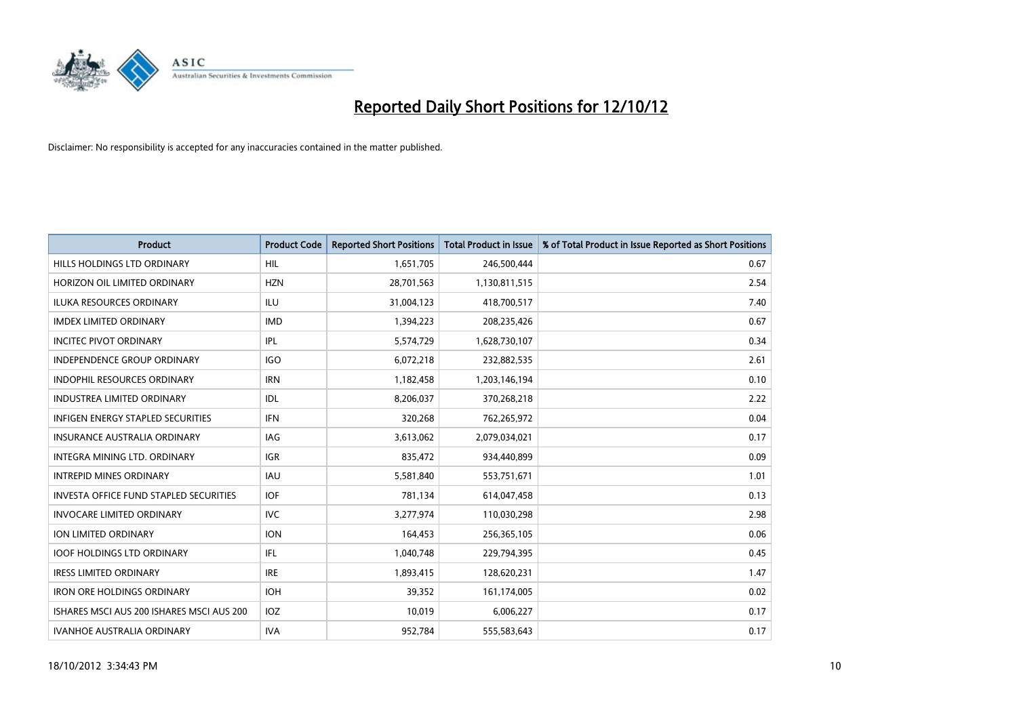

| <b>Product</b>                                | <b>Product Code</b> | <b>Reported Short Positions</b> | <b>Total Product in Issue</b> | % of Total Product in Issue Reported as Short Positions |
|-----------------------------------------------|---------------------|---------------------------------|-------------------------------|---------------------------------------------------------|
| HILLS HOLDINGS LTD ORDINARY                   | <b>HIL</b>          | 1,651,705                       | 246,500,444                   | 0.67                                                    |
| HORIZON OIL LIMITED ORDINARY                  | <b>HZN</b>          | 28,701,563                      | 1,130,811,515                 | 2.54                                                    |
| <b>ILUKA RESOURCES ORDINARY</b>               | ILU                 | 31,004,123                      | 418,700,517                   | 7.40                                                    |
| <b>IMDEX LIMITED ORDINARY</b>                 | <b>IMD</b>          | 1,394,223                       | 208,235,426                   | 0.67                                                    |
| <b>INCITEC PIVOT ORDINARY</b>                 | <b>IPL</b>          | 5,574,729                       | 1,628,730,107                 | 0.34                                                    |
| <b>INDEPENDENCE GROUP ORDINARY</b>            | <b>IGO</b>          | 6,072,218                       | 232,882,535                   | 2.61                                                    |
| <b>INDOPHIL RESOURCES ORDINARY</b>            | <b>IRN</b>          | 1,182,458                       | 1,203,146,194                 | 0.10                                                    |
| <b>INDUSTREA LIMITED ORDINARY</b>             | IDL                 | 8,206,037                       | 370,268,218                   | 2.22                                                    |
| INFIGEN ENERGY STAPLED SECURITIES             | <b>IFN</b>          | 320,268                         | 762,265,972                   | 0.04                                                    |
| <b>INSURANCE AUSTRALIA ORDINARY</b>           | IAG                 | 3,613,062                       | 2,079,034,021                 | 0.17                                                    |
| <b>INTEGRA MINING LTD, ORDINARY</b>           | <b>IGR</b>          | 835,472                         | 934,440,899                   | 0.09                                                    |
| <b>INTREPID MINES ORDINARY</b>                | <b>IAU</b>          | 5,581,840                       | 553,751,671                   | 1.01                                                    |
| <b>INVESTA OFFICE FUND STAPLED SECURITIES</b> | <b>IOF</b>          | 781,134                         | 614,047,458                   | 0.13                                                    |
| <b>INVOCARE LIMITED ORDINARY</b>              | <b>IVC</b>          | 3,277,974                       | 110,030,298                   | 2.98                                                    |
| ION LIMITED ORDINARY                          | <b>ION</b>          | 164,453                         | 256,365,105                   | 0.06                                                    |
| <b>IOOF HOLDINGS LTD ORDINARY</b>             | <b>IFL</b>          | 1,040,748                       | 229,794,395                   | 0.45                                                    |
| <b>IRESS LIMITED ORDINARY</b>                 | <b>IRE</b>          | 1,893,415                       | 128,620,231                   | 1.47                                                    |
| <b>IRON ORE HOLDINGS ORDINARY</b>             | <b>IOH</b>          | 39,352                          | 161,174,005                   | 0.02                                                    |
| ISHARES MSCI AUS 200 ISHARES MSCI AUS 200     | <b>IOZ</b>          | 10,019                          | 6,006,227                     | 0.17                                                    |
| <b>IVANHOE AUSTRALIA ORDINARY</b>             | <b>IVA</b>          | 952.784                         | 555,583,643                   | 0.17                                                    |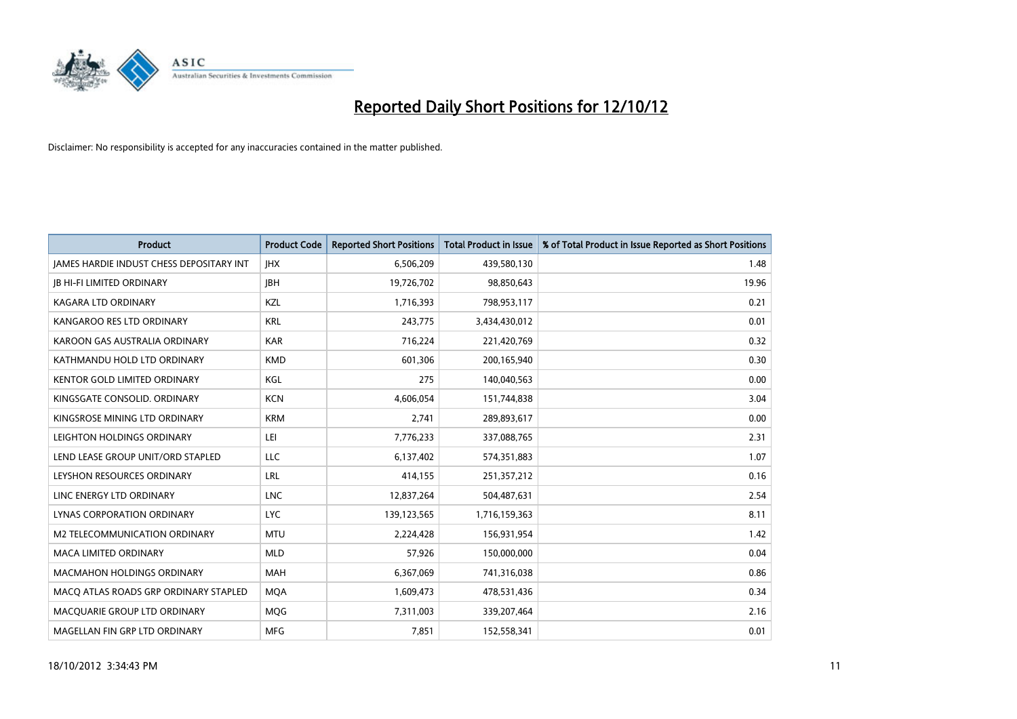

| <b>Product</b>                                  | <b>Product Code</b> | <b>Reported Short Positions</b> | <b>Total Product in Issue</b> | % of Total Product in Issue Reported as Short Positions |
|-------------------------------------------------|---------------------|---------------------------------|-------------------------------|---------------------------------------------------------|
| <b>IAMES HARDIE INDUST CHESS DEPOSITARY INT</b> | <b>IHX</b>          | 6,506,209                       | 439,580,130                   | 1.48                                                    |
| <b>IB HI-FI LIMITED ORDINARY</b>                | <b>JBH</b>          | 19,726,702                      | 98,850,643                    | 19.96                                                   |
| <b>KAGARA LTD ORDINARY</b>                      | KZL                 | 1,716,393                       | 798,953,117                   | 0.21                                                    |
| KANGAROO RES LTD ORDINARY                       | <b>KRL</b>          | 243,775                         | 3,434,430,012                 | 0.01                                                    |
| KAROON GAS AUSTRALIA ORDINARY                   | <b>KAR</b>          | 716,224                         | 221,420,769                   | 0.32                                                    |
| KATHMANDU HOLD LTD ORDINARY                     | <b>KMD</b>          | 601,306                         | 200,165,940                   | 0.30                                                    |
| KENTOR GOLD LIMITED ORDINARY                    | KGL                 | 275                             | 140,040,563                   | 0.00                                                    |
| KINGSGATE CONSOLID. ORDINARY                    | <b>KCN</b>          | 4,606,054                       | 151,744,838                   | 3.04                                                    |
| KINGSROSE MINING LTD ORDINARY                   | <b>KRM</b>          | 2,741                           | 289,893,617                   | 0.00                                                    |
| LEIGHTON HOLDINGS ORDINARY                      | LEI                 | 7,776,233                       | 337,088,765                   | 2.31                                                    |
| LEND LEASE GROUP UNIT/ORD STAPLED               | LLC                 | 6,137,402                       | 574,351,883                   | 1.07                                                    |
| LEYSHON RESOURCES ORDINARY                      | LRL                 | 414,155                         | 251,357,212                   | 0.16                                                    |
| LINC ENERGY LTD ORDINARY                        | <b>LNC</b>          | 12,837,264                      | 504,487,631                   | 2.54                                                    |
| <b>LYNAS CORPORATION ORDINARY</b>               | <b>LYC</b>          | 139,123,565                     | 1,716,159,363                 | 8.11                                                    |
| M2 TELECOMMUNICATION ORDINARY                   | <b>MTU</b>          | 2,224,428                       | 156,931,954                   | 1.42                                                    |
| MACA LIMITED ORDINARY                           | <b>MLD</b>          | 57,926                          | 150,000,000                   | 0.04                                                    |
| <b>MACMAHON HOLDINGS ORDINARY</b>               | <b>MAH</b>          | 6,367,069                       | 741,316,038                   | 0.86                                                    |
| MACQ ATLAS ROADS GRP ORDINARY STAPLED           | <b>MQA</b>          | 1,609,473                       | 478,531,436                   | 0.34                                                    |
| MACQUARIE GROUP LTD ORDINARY                    | <b>MOG</b>          | 7,311,003                       | 339,207,464                   | 2.16                                                    |
| MAGELLAN FIN GRP LTD ORDINARY                   | <b>MFG</b>          | 7,851                           | 152,558,341                   | 0.01                                                    |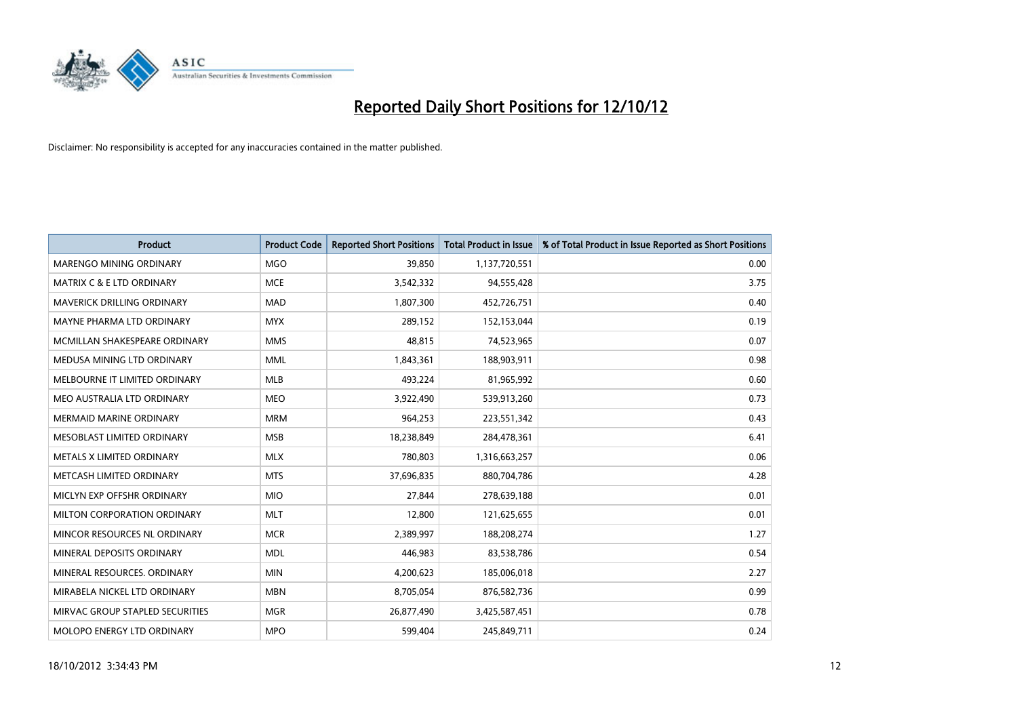

| <b>Product</b>                    | <b>Product Code</b> | <b>Reported Short Positions</b> | <b>Total Product in Issue</b> | % of Total Product in Issue Reported as Short Positions |
|-----------------------------------|---------------------|---------------------------------|-------------------------------|---------------------------------------------------------|
| MARENGO MINING ORDINARY           | <b>MGO</b>          | 39.850                          | 1,137,720,551                 | 0.00                                                    |
| MATRIX C & E LTD ORDINARY         | <b>MCE</b>          | 3,542,332                       | 94,555,428                    | 3.75                                                    |
| <b>MAVERICK DRILLING ORDINARY</b> | <b>MAD</b>          | 1,807,300                       | 452,726,751                   | 0.40                                                    |
| MAYNE PHARMA LTD ORDINARY         | <b>MYX</b>          | 289,152                         | 152,153,044                   | 0.19                                                    |
| MCMILLAN SHAKESPEARE ORDINARY     | <b>MMS</b>          | 48,815                          | 74,523,965                    | 0.07                                                    |
| MEDUSA MINING LTD ORDINARY        | <b>MML</b>          | 1,843,361                       | 188,903,911                   | 0.98                                                    |
| MELBOURNE IT LIMITED ORDINARY     | <b>MLB</b>          | 493,224                         | 81,965,992                    | 0.60                                                    |
| MEO AUSTRALIA LTD ORDINARY        | <b>MEO</b>          | 3,922,490                       | 539,913,260                   | 0.73                                                    |
| MERMAID MARINE ORDINARY           | <b>MRM</b>          | 964,253                         | 223,551,342                   | 0.43                                                    |
| MESOBLAST LIMITED ORDINARY        | <b>MSB</b>          | 18,238,849                      | 284,478,361                   | 6.41                                                    |
| <b>METALS X LIMITED ORDINARY</b>  | <b>MLX</b>          | 780,803                         | 1,316,663,257                 | 0.06                                                    |
| METCASH LIMITED ORDINARY          | <b>MTS</b>          | 37,696,835                      | 880,704,786                   | 4.28                                                    |
| MICLYN EXP OFFSHR ORDINARY        | <b>MIO</b>          | 27,844                          | 278,639,188                   | 0.01                                                    |
| MILTON CORPORATION ORDINARY       | <b>MLT</b>          | 12,800                          | 121,625,655                   | 0.01                                                    |
| MINCOR RESOURCES NL ORDINARY      | <b>MCR</b>          | 2,389,997                       | 188,208,274                   | 1.27                                                    |
| MINERAL DEPOSITS ORDINARY         | <b>MDL</b>          | 446,983                         | 83,538,786                    | 0.54                                                    |
| MINERAL RESOURCES, ORDINARY       | <b>MIN</b>          | 4,200,623                       | 185,006,018                   | 2.27                                                    |
| MIRABELA NICKEL LTD ORDINARY      | <b>MBN</b>          | 8,705,054                       | 876,582,736                   | 0.99                                                    |
| MIRVAC GROUP STAPLED SECURITIES   | <b>MGR</b>          | 26,877,490                      | 3,425,587,451                 | 0.78                                                    |
| <b>MOLOPO ENERGY LTD ORDINARY</b> | <b>MPO</b>          | 599.404                         | 245,849,711                   | 0.24                                                    |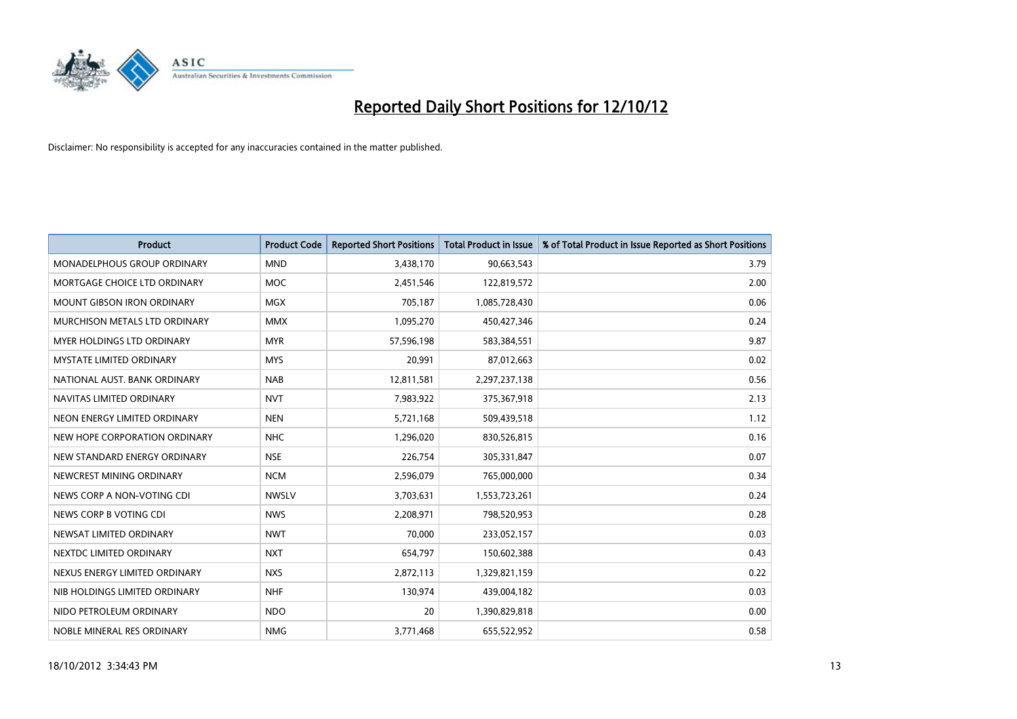

| <b>Product</b>                     | <b>Product Code</b> | <b>Reported Short Positions</b> | Total Product in Issue | % of Total Product in Issue Reported as Short Positions |
|------------------------------------|---------------------|---------------------------------|------------------------|---------------------------------------------------------|
| <b>MONADELPHOUS GROUP ORDINARY</b> | <b>MND</b>          | 3,438,170                       | 90,663,543             | 3.79                                                    |
| MORTGAGE CHOICE LTD ORDINARY       | <b>MOC</b>          | 2,451,546                       | 122,819,572            | 2.00                                                    |
| <b>MOUNT GIBSON IRON ORDINARY</b>  | <b>MGX</b>          | 705,187                         | 1,085,728,430          | 0.06                                                    |
| MURCHISON METALS LTD ORDINARY      | <b>MMX</b>          | 1,095,270                       | 450,427,346            | 0.24                                                    |
| MYER HOLDINGS LTD ORDINARY         | <b>MYR</b>          | 57,596,198                      | 583,384,551            | 9.87                                                    |
| <b>MYSTATE LIMITED ORDINARY</b>    | <b>MYS</b>          | 20,991                          | 87,012,663             | 0.02                                                    |
| NATIONAL AUST. BANK ORDINARY       | <b>NAB</b>          | 12,811,581                      | 2,297,237,138          | 0.56                                                    |
| NAVITAS LIMITED ORDINARY           | <b>NVT</b>          | 7,983,922                       | 375,367,918            | 2.13                                                    |
| NEON ENERGY LIMITED ORDINARY       | <b>NEN</b>          | 5,721,168                       | 509,439,518            | 1.12                                                    |
| NEW HOPE CORPORATION ORDINARY      | <b>NHC</b>          | 1,296,020                       | 830,526,815            | 0.16                                                    |
| NEW STANDARD ENERGY ORDINARY       | <b>NSE</b>          | 226,754                         | 305,331,847            | 0.07                                                    |
| NEWCREST MINING ORDINARY           | <b>NCM</b>          | 2,596,079                       | 765,000,000            | 0.34                                                    |
| NEWS CORP A NON-VOTING CDI         | <b>NWSLV</b>        | 3,703,631                       | 1,553,723,261          | 0.24                                                    |
| NEWS CORP B VOTING CDI             | <b>NWS</b>          | 2,208,971                       | 798,520,953            | 0.28                                                    |
| NEWSAT LIMITED ORDINARY            | <b>NWT</b>          | 70.000                          | 233,052,157            | 0.03                                                    |
| NEXTDC LIMITED ORDINARY            | <b>NXT</b>          | 654,797                         | 150,602,388            | 0.43                                                    |
| NEXUS ENERGY LIMITED ORDINARY      | <b>NXS</b>          | 2,872,113                       | 1,329,821,159          | 0.22                                                    |
| NIB HOLDINGS LIMITED ORDINARY      | <b>NHF</b>          | 130,974                         | 439,004,182            | 0.03                                                    |
| NIDO PETROLEUM ORDINARY            | <b>NDO</b>          | 20                              | 1,390,829,818          | 0.00                                                    |
| NOBLE MINERAL RES ORDINARY         | <b>NMG</b>          | 3,771,468                       | 655,522,952            | 0.58                                                    |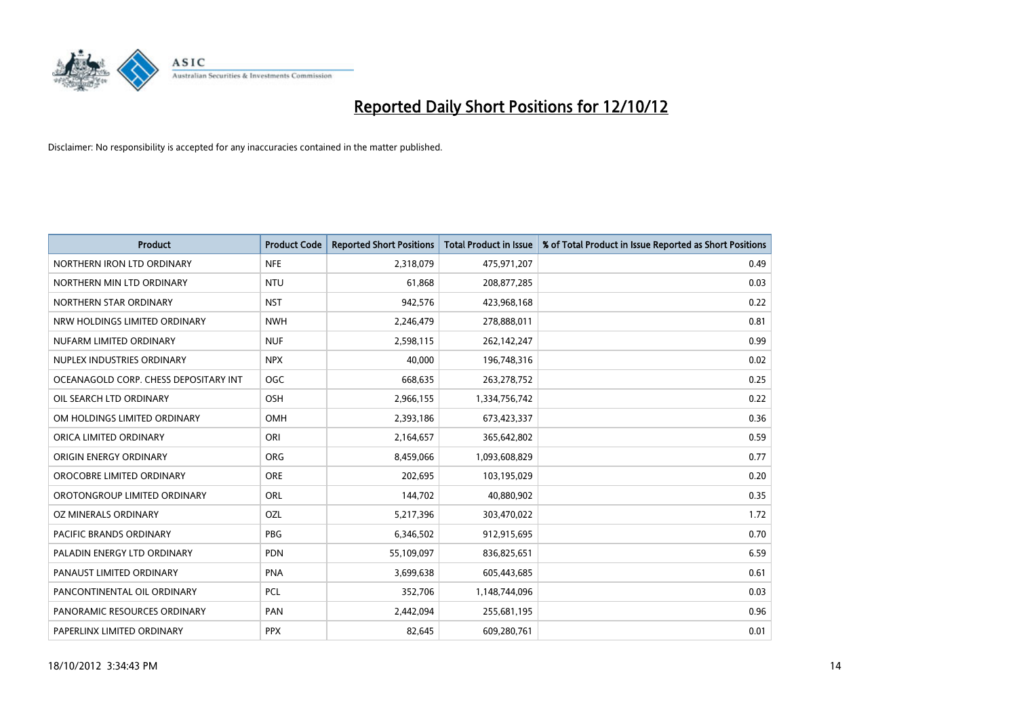

| <b>Product</b>                        | <b>Product Code</b> | <b>Reported Short Positions</b> | <b>Total Product in Issue</b> | % of Total Product in Issue Reported as Short Positions |
|---------------------------------------|---------------------|---------------------------------|-------------------------------|---------------------------------------------------------|
| NORTHERN IRON LTD ORDINARY            | <b>NFE</b>          | 2,318,079                       | 475,971,207                   | 0.49                                                    |
| NORTHERN MIN LTD ORDINARY             | <b>NTU</b>          | 61,868                          | 208,877,285                   | 0.03                                                    |
| NORTHERN STAR ORDINARY                | <b>NST</b>          | 942,576                         | 423,968,168                   | 0.22                                                    |
| NRW HOLDINGS LIMITED ORDINARY         | <b>NWH</b>          | 2,246,479                       | 278,888,011                   | 0.81                                                    |
| NUFARM LIMITED ORDINARY               | <b>NUF</b>          | 2,598,115                       | 262,142,247                   | 0.99                                                    |
| NUPLEX INDUSTRIES ORDINARY            | <b>NPX</b>          | 40.000                          | 196,748,316                   | 0.02                                                    |
| OCEANAGOLD CORP. CHESS DEPOSITARY INT | <b>OGC</b>          | 668,635                         | 263,278,752                   | 0.25                                                    |
| OIL SEARCH LTD ORDINARY               | OSH                 | 2,966,155                       | 1,334,756,742                 | 0.22                                                    |
| OM HOLDINGS LIMITED ORDINARY          | OMH                 | 2,393,186                       | 673,423,337                   | 0.36                                                    |
| ORICA LIMITED ORDINARY                | ORI                 | 2,164,657                       | 365,642,802                   | 0.59                                                    |
| ORIGIN ENERGY ORDINARY                | <b>ORG</b>          | 8,459,066                       | 1,093,608,829                 | 0.77                                                    |
| OROCOBRE LIMITED ORDINARY             | <b>ORE</b>          | 202,695                         | 103,195,029                   | 0.20                                                    |
| OROTONGROUP LIMITED ORDINARY          | ORL                 | 144,702                         | 40,880,902                    | 0.35                                                    |
| OZ MINERALS ORDINARY                  | OZL                 | 5,217,396                       | 303,470,022                   | 1.72                                                    |
| <b>PACIFIC BRANDS ORDINARY</b>        | <b>PBG</b>          | 6,346,502                       | 912,915,695                   | 0.70                                                    |
| PALADIN ENERGY LTD ORDINARY           | <b>PDN</b>          | 55,109,097                      | 836,825,651                   | 6.59                                                    |
| PANAUST LIMITED ORDINARY              | <b>PNA</b>          | 3,699,638                       | 605,443,685                   | 0.61                                                    |
| PANCONTINENTAL OIL ORDINARY           | <b>PCL</b>          | 352,706                         | 1,148,744,096                 | 0.03                                                    |
| PANORAMIC RESOURCES ORDINARY          | PAN                 | 2,442,094                       | 255,681,195                   | 0.96                                                    |
| PAPERLINX LIMITED ORDINARY            | <b>PPX</b>          | 82,645                          | 609,280,761                   | 0.01                                                    |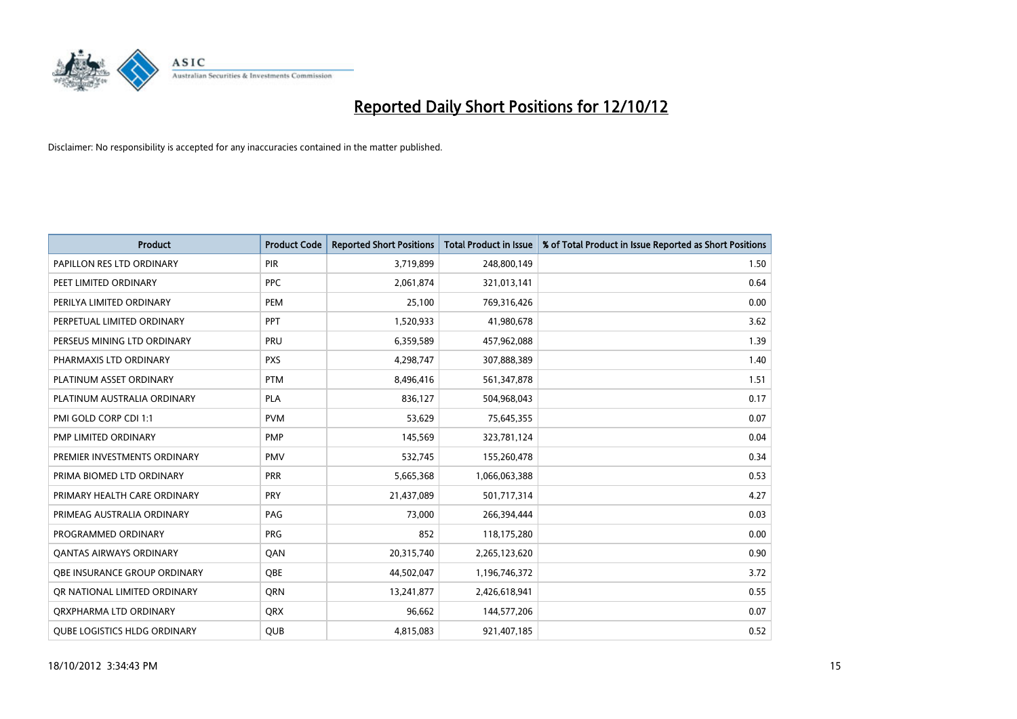

| <b>Product</b>                      | <b>Product Code</b> | <b>Reported Short Positions</b> | <b>Total Product in Issue</b> | % of Total Product in Issue Reported as Short Positions |
|-------------------------------------|---------------------|---------------------------------|-------------------------------|---------------------------------------------------------|
| PAPILLON RES LTD ORDINARY           | <b>PIR</b>          | 3,719,899                       | 248,800,149                   | 1.50                                                    |
| PEET LIMITED ORDINARY               | <b>PPC</b>          | 2,061,874                       | 321,013,141                   | 0.64                                                    |
| PERILYA LIMITED ORDINARY            | PEM                 | 25,100                          | 769,316,426                   | 0.00                                                    |
| PERPETUAL LIMITED ORDINARY          | <b>PPT</b>          | 1,520,933                       | 41,980,678                    | 3.62                                                    |
| PERSEUS MINING LTD ORDINARY         | PRU                 | 6,359,589                       | 457,962,088                   | 1.39                                                    |
| PHARMAXIS LTD ORDINARY              | <b>PXS</b>          | 4,298,747                       | 307,888,389                   | 1.40                                                    |
| PLATINUM ASSET ORDINARY             | <b>PTM</b>          | 8,496,416                       | 561,347,878                   | 1.51                                                    |
| PLATINUM AUSTRALIA ORDINARY         | <b>PLA</b>          | 836,127                         | 504,968,043                   | 0.17                                                    |
| PMI GOLD CORP CDI 1:1               | <b>PVM</b>          | 53,629                          | 75,645,355                    | 0.07                                                    |
| PMP LIMITED ORDINARY                | <b>PMP</b>          | 145,569                         | 323,781,124                   | 0.04                                                    |
| PREMIER INVESTMENTS ORDINARY        | <b>PMV</b>          | 532,745                         | 155,260,478                   | 0.34                                                    |
| PRIMA BIOMED LTD ORDINARY           | PRR                 | 5,665,368                       | 1,066,063,388                 | 0.53                                                    |
| PRIMARY HEALTH CARE ORDINARY        | PRY                 | 21,437,089                      | 501,717,314                   | 4.27                                                    |
| PRIMEAG AUSTRALIA ORDINARY          | PAG                 | 73,000                          | 266,394,444                   | 0.03                                                    |
| PROGRAMMED ORDINARY                 | <b>PRG</b>          | 852                             | 118,175,280                   | 0.00                                                    |
| <b>QANTAS AIRWAYS ORDINARY</b>      | QAN                 | 20,315,740                      | 2,265,123,620                 | 0.90                                                    |
| <b>OBE INSURANCE GROUP ORDINARY</b> | <b>OBE</b>          | 44,502,047                      | 1,196,746,372                 | 3.72                                                    |
| OR NATIONAL LIMITED ORDINARY        | <b>ORN</b>          | 13,241,877                      | 2,426,618,941                 | 0.55                                                    |
| ORXPHARMA LTD ORDINARY              | <b>QRX</b>          | 96,662                          | 144,577,206                   | 0.07                                                    |
| <b>OUBE LOGISTICS HLDG ORDINARY</b> | <b>OUB</b>          | 4,815,083                       | 921,407,185                   | 0.52                                                    |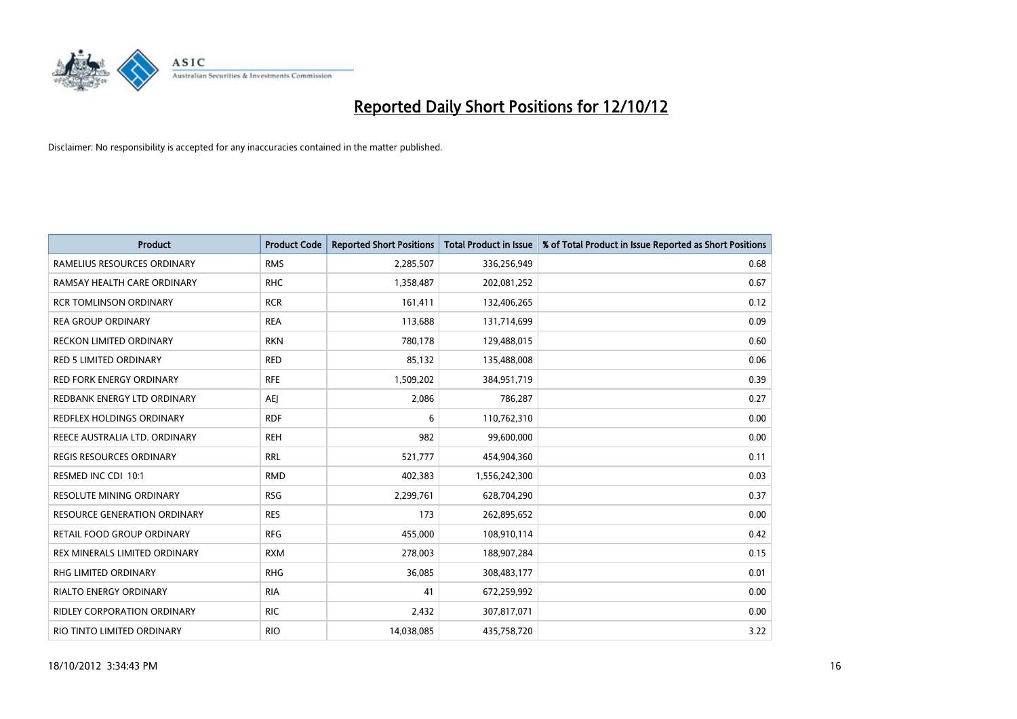

| <b>Product</b>                      | <b>Product Code</b> | <b>Reported Short Positions</b> | <b>Total Product in Issue</b> | % of Total Product in Issue Reported as Short Positions |
|-------------------------------------|---------------------|---------------------------------|-------------------------------|---------------------------------------------------------|
| RAMELIUS RESOURCES ORDINARY         | <b>RMS</b>          | 2,285,507                       | 336,256,949                   | 0.68                                                    |
| RAMSAY HEALTH CARE ORDINARY         | <b>RHC</b>          | 1,358,487                       | 202,081,252                   | 0.67                                                    |
| <b>RCR TOMLINSON ORDINARY</b>       | <b>RCR</b>          | 161,411                         | 132,406,265                   | 0.12                                                    |
| <b>REA GROUP ORDINARY</b>           | <b>REA</b>          | 113,688                         | 131,714,699                   | 0.09                                                    |
| RECKON LIMITED ORDINARY             | <b>RKN</b>          | 780,178                         | 129,488,015                   | 0.60                                                    |
| <b>RED 5 LIMITED ORDINARY</b>       | <b>RED</b>          | 85,132                          | 135,488,008                   | 0.06                                                    |
| <b>RED FORK ENERGY ORDINARY</b>     | <b>RFE</b>          | 1,509,202                       | 384,951,719                   | 0.39                                                    |
| REDBANK ENERGY LTD ORDINARY         | AEI                 | 2,086                           | 786,287                       | 0.27                                                    |
| <b>REDFLEX HOLDINGS ORDINARY</b>    | <b>RDF</b>          | 6                               | 110,762,310                   | 0.00                                                    |
| REECE AUSTRALIA LTD. ORDINARY       | <b>REH</b>          | 982                             | 99,600,000                    | 0.00                                                    |
| REGIS RESOURCES ORDINARY            | <b>RRL</b>          | 521,777                         | 454,904,360                   | 0.11                                                    |
| RESMED INC CDI 10:1                 | <b>RMD</b>          | 402,383                         | 1,556,242,300                 | 0.03                                                    |
| RESOLUTE MINING ORDINARY            | <b>RSG</b>          | 2,299,761                       | 628,704,290                   | 0.37                                                    |
| <b>RESOURCE GENERATION ORDINARY</b> | <b>RES</b>          | 173                             | 262,895,652                   | 0.00                                                    |
| RETAIL FOOD GROUP ORDINARY          | <b>RFG</b>          | 455,000                         | 108,910,114                   | 0.42                                                    |
| REX MINERALS LIMITED ORDINARY       | <b>RXM</b>          | 278,003                         | 188,907,284                   | 0.15                                                    |
| RHG LIMITED ORDINARY                | <b>RHG</b>          | 36,085                          | 308,483,177                   | 0.01                                                    |
| RIALTO ENERGY ORDINARY              | <b>RIA</b>          | 41                              | 672,259,992                   | 0.00                                                    |
| <b>RIDLEY CORPORATION ORDINARY</b>  | <b>RIC</b>          | 2,432                           | 307,817,071                   | 0.00                                                    |
| RIO TINTO LIMITED ORDINARY          | <b>RIO</b>          | 14,038,085                      | 435,758,720                   | 3.22                                                    |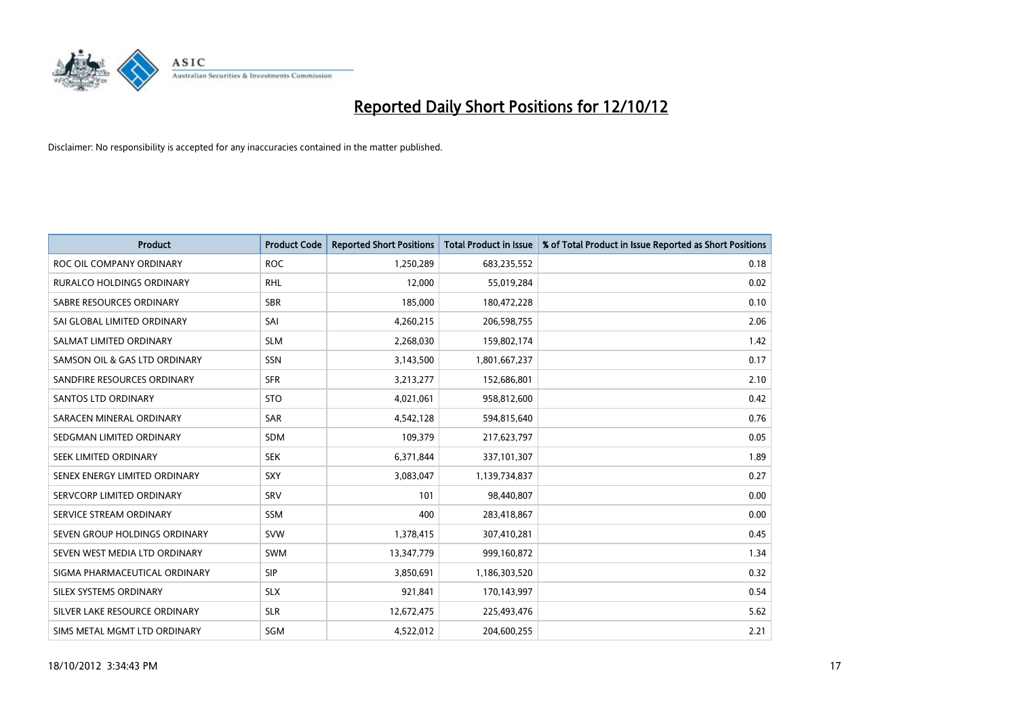

| <b>Product</b>                   | <b>Product Code</b> | <b>Reported Short Positions</b> | <b>Total Product in Issue</b> | % of Total Product in Issue Reported as Short Positions |
|----------------------------------|---------------------|---------------------------------|-------------------------------|---------------------------------------------------------|
| ROC OIL COMPANY ORDINARY         | <b>ROC</b>          | 1,250,289                       | 683,235,552                   | 0.18                                                    |
| <b>RURALCO HOLDINGS ORDINARY</b> | <b>RHL</b>          | 12,000                          | 55,019,284                    | 0.02                                                    |
| SABRE RESOURCES ORDINARY         | <b>SBR</b>          | 185,000                         | 180,472,228                   | 0.10                                                    |
| SAI GLOBAL LIMITED ORDINARY      | SAI                 | 4,260,215                       | 206,598,755                   | 2.06                                                    |
| SALMAT LIMITED ORDINARY          | <b>SLM</b>          | 2,268,030                       | 159,802,174                   | 1.42                                                    |
| SAMSON OIL & GAS LTD ORDINARY    | <b>SSN</b>          | 3,143,500                       | 1,801,667,237                 | 0.17                                                    |
| SANDFIRE RESOURCES ORDINARY      | <b>SFR</b>          | 3,213,277                       | 152,686,801                   | 2.10                                                    |
| <b>SANTOS LTD ORDINARY</b>       | <b>STO</b>          | 4,021,061                       | 958,812,600                   | 0.42                                                    |
| SARACEN MINERAL ORDINARY         | <b>SAR</b>          | 4,542,128                       | 594,815,640                   | 0.76                                                    |
| SEDGMAN LIMITED ORDINARY         | <b>SDM</b>          | 109,379                         | 217,623,797                   | 0.05                                                    |
| SEEK LIMITED ORDINARY            | <b>SEK</b>          | 6,371,844                       | 337,101,307                   | 1.89                                                    |
| SENEX ENERGY LIMITED ORDINARY    | <b>SXY</b>          | 3,083,047                       | 1,139,734,837                 | 0.27                                                    |
| SERVCORP LIMITED ORDINARY        | SRV                 | 101                             | 98,440,807                    | 0.00                                                    |
| SERVICE STREAM ORDINARY          | <b>SSM</b>          | 400                             | 283,418,867                   | 0.00                                                    |
| SEVEN GROUP HOLDINGS ORDINARY    | <b>SVW</b>          | 1,378,415                       | 307,410,281                   | 0.45                                                    |
| SEVEN WEST MEDIA LTD ORDINARY    | <b>SWM</b>          | 13,347,779                      | 999,160,872                   | 1.34                                                    |
| SIGMA PHARMACEUTICAL ORDINARY    | <b>SIP</b>          | 3,850,691                       | 1,186,303,520                 | 0.32                                                    |
| SILEX SYSTEMS ORDINARY           | <b>SLX</b>          | 921,841                         | 170,143,997                   | 0.54                                                    |
| SILVER LAKE RESOURCE ORDINARY    | <b>SLR</b>          | 12,672,475                      | 225,493,476                   | 5.62                                                    |
| SIMS METAL MGMT LTD ORDINARY     | SGM                 | 4,522,012                       | 204,600,255                   | 2.21                                                    |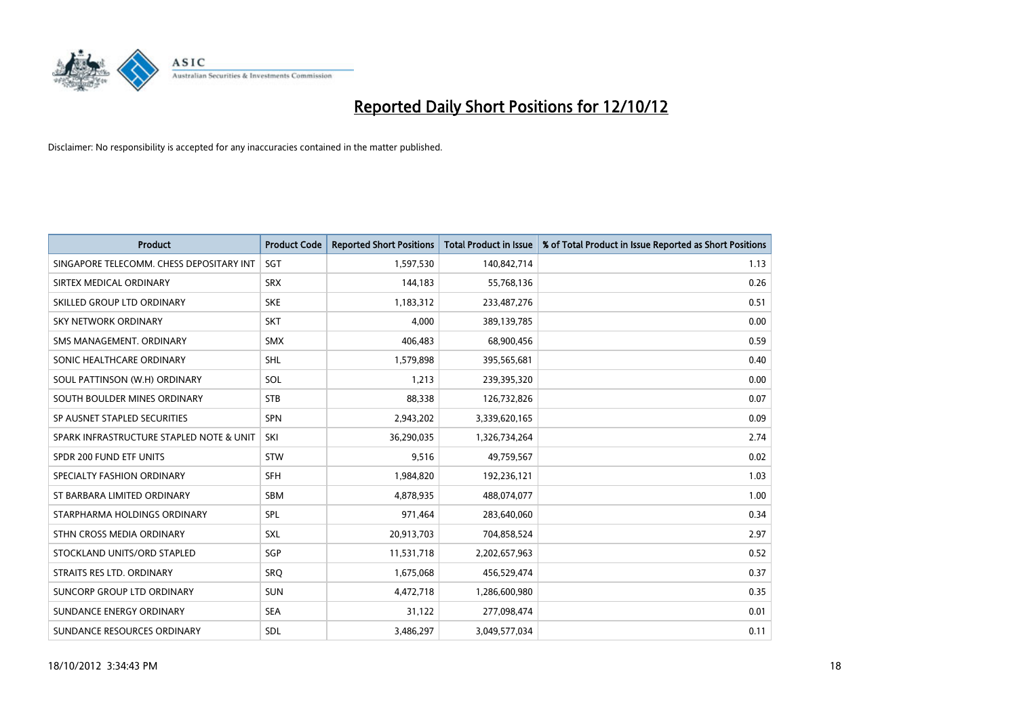

| <b>Product</b>                           | <b>Product Code</b> | <b>Reported Short Positions</b> | <b>Total Product in Issue</b> | % of Total Product in Issue Reported as Short Positions |
|------------------------------------------|---------------------|---------------------------------|-------------------------------|---------------------------------------------------------|
| SINGAPORE TELECOMM. CHESS DEPOSITARY INT | SGT                 | 1,597,530                       | 140,842,714                   | 1.13                                                    |
| SIRTEX MEDICAL ORDINARY                  | <b>SRX</b>          | 144,183                         | 55,768,136                    | 0.26                                                    |
| SKILLED GROUP LTD ORDINARY               | <b>SKE</b>          | 1,183,312                       | 233,487,276                   | 0.51                                                    |
| SKY NETWORK ORDINARY                     | <b>SKT</b>          | 4,000                           | 389,139,785                   | 0.00                                                    |
| SMS MANAGEMENT, ORDINARY                 | <b>SMX</b>          | 406,483                         | 68,900,456                    | 0.59                                                    |
| SONIC HEALTHCARE ORDINARY                | <b>SHL</b>          | 1,579,898                       | 395,565,681                   | 0.40                                                    |
| SOUL PATTINSON (W.H) ORDINARY            | SOL                 | 1,213                           | 239,395,320                   | 0.00                                                    |
| SOUTH BOULDER MINES ORDINARY             | <b>STB</b>          | 88,338                          | 126,732,826                   | 0.07                                                    |
| SP AUSNET STAPLED SECURITIES             | SPN                 | 2,943,202                       | 3,339,620,165                 | 0.09                                                    |
| SPARK INFRASTRUCTURE STAPLED NOTE & UNIT | SKI                 | 36,290,035                      | 1,326,734,264                 | 2.74                                                    |
| SPDR 200 FUND ETF UNITS                  | <b>STW</b>          | 9,516                           | 49,759,567                    | 0.02                                                    |
| SPECIALTY FASHION ORDINARY               | <b>SFH</b>          | 1,984,820                       | 192,236,121                   | 1.03                                                    |
| ST BARBARA LIMITED ORDINARY              | <b>SBM</b>          | 4,878,935                       | 488,074,077                   | 1.00                                                    |
| STARPHARMA HOLDINGS ORDINARY             | SPL                 | 971,464                         | 283,640,060                   | 0.34                                                    |
| STHN CROSS MEDIA ORDINARY                | <b>SXL</b>          | 20,913,703                      | 704,858,524                   | 2.97                                                    |
| STOCKLAND UNITS/ORD STAPLED              | SGP                 | 11,531,718                      | 2,202,657,963                 | 0.52                                                    |
| STRAITS RES LTD. ORDINARY                | SRO                 | 1,675,068                       | 456,529,474                   | 0.37                                                    |
| SUNCORP GROUP LTD ORDINARY               | <b>SUN</b>          | 4,472,718                       | 1,286,600,980                 | 0.35                                                    |
| SUNDANCE ENERGY ORDINARY                 | <b>SEA</b>          | 31,122                          | 277,098,474                   | 0.01                                                    |
| SUNDANCE RESOURCES ORDINARY              | <b>SDL</b>          | 3,486,297                       | 3,049,577,034                 | 0.11                                                    |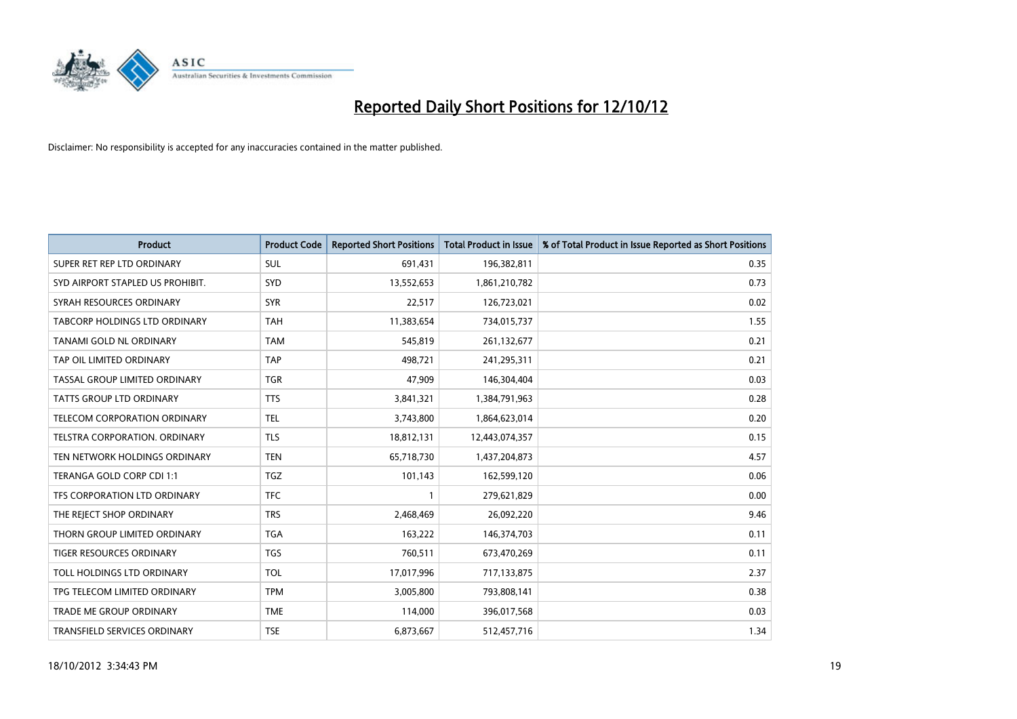

| <b>Product</b>                       | <b>Product Code</b> | <b>Reported Short Positions</b> | Total Product in Issue | % of Total Product in Issue Reported as Short Positions |
|--------------------------------------|---------------------|---------------------------------|------------------------|---------------------------------------------------------|
| SUPER RET REP LTD ORDINARY           | <b>SUL</b>          | 691,431                         | 196,382,811            | 0.35                                                    |
| SYD AIRPORT STAPLED US PROHIBIT.     | SYD                 | 13,552,653                      | 1,861,210,782          | 0.73                                                    |
| SYRAH RESOURCES ORDINARY             | <b>SYR</b>          | 22,517                          | 126,723,021            | 0.02                                                    |
| TABCORP HOLDINGS LTD ORDINARY        | <b>TAH</b>          | 11,383,654                      | 734,015,737            | 1.55                                                    |
| <b>TANAMI GOLD NL ORDINARY</b>       | <b>TAM</b>          | 545.819                         | 261,132,677            | 0.21                                                    |
| TAP OIL LIMITED ORDINARY             | <b>TAP</b>          | 498,721                         | 241,295,311            | 0.21                                                    |
| TASSAL GROUP LIMITED ORDINARY        | <b>TGR</b>          | 47.909                          | 146,304,404            | 0.03                                                    |
| <b>TATTS GROUP LTD ORDINARY</b>      | <b>TTS</b>          | 3,841,321                       | 1,384,791,963          | 0.28                                                    |
| TELECOM CORPORATION ORDINARY         | <b>TEL</b>          | 3,743,800                       | 1,864,623,014          | 0.20                                                    |
| <b>TELSTRA CORPORATION, ORDINARY</b> | <b>TLS</b>          | 18,812,131                      | 12,443,074,357         | 0.15                                                    |
| TEN NETWORK HOLDINGS ORDINARY        | <b>TEN</b>          | 65,718,730                      | 1,437,204,873          | 4.57                                                    |
| TERANGA GOLD CORP CDI 1:1            | <b>TGZ</b>          | 101,143                         | 162,599,120            | 0.06                                                    |
| TFS CORPORATION LTD ORDINARY         | <b>TFC</b>          |                                 | 279,621,829            | 0.00                                                    |
| THE REJECT SHOP ORDINARY             | <b>TRS</b>          | 2,468,469                       | 26,092,220             | 9.46                                                    |
| THORN GROUP LIMITED ORDINARY         | <b>TGA</b>          | 163,222                         | 146,374,703            | 0.11                                                    |
| <b>TIGER RESOURCES ORDINARY</b>      | <b>TGS</b>          | 760,511                         | 673,470,269            | 0.11                                                    |
| TOLL HOLDINGS LTD ORDINARY           | <b>TOL</b>          | 17,017,996                      | 717,133,875            | 2.37                                                    |
| TPG TELECOM LIMITED ORDINARY         | <b>TPM</b>          | 3,005,800                       | 793,808,141            | 0.38                                                    |
| <b>TRADE ME GROUP ORDINARY</b>       | <b>TME</b>          | 114,000                         | 396,017,568            | 0.03                                                    |
| <b>TRANSFIELD SERVICES ORDINARY</b>  | <b>TSE</b>          | 6,873,667                       | 512,457,716            | 1.34                                                    |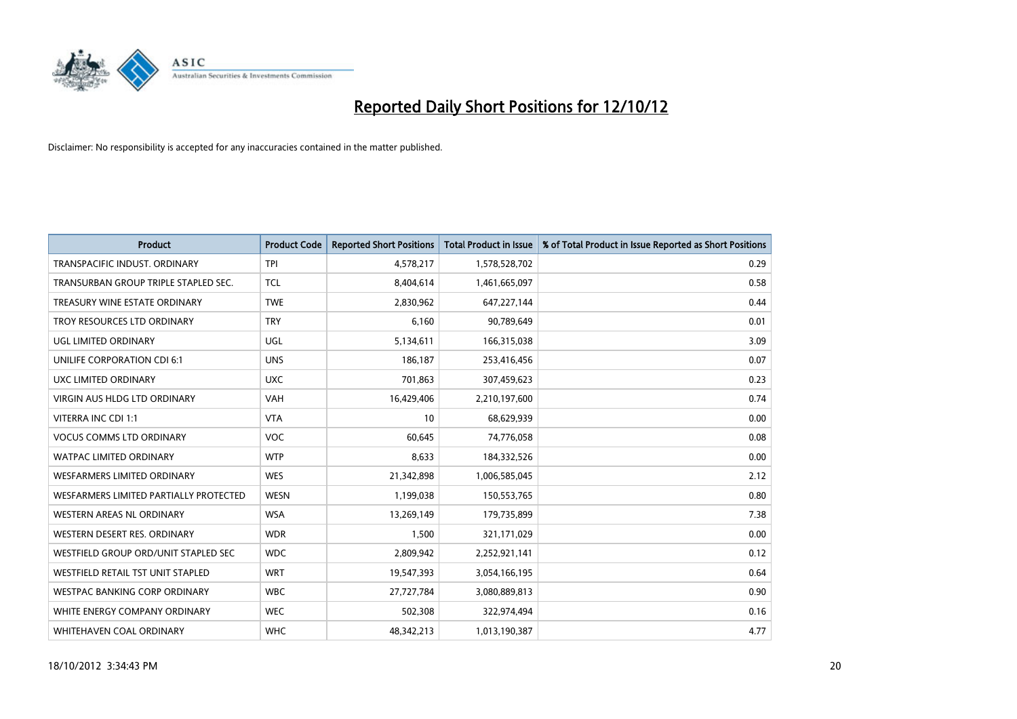

| <b>Product</b>                         | <b>Product Code</b> | <b>Reported Short Positions</b> | <b>Total Product in Issue</b> | % of Total Product in Issue Reported as Short Positions |
|----------------------------------------|---------------------|---------------------------------|-------------------------------|---------------------------------------------------------|
| TRANSPACIFIC INDUST, ORDINARY          | <b>TPI</b>          | 4,578,217                       | 1,578,528,702                 | 0.29                                                    |
| TRANSURBAN GROUP TRIPLE STAPLED SEC.   | <b>TCL</b>          | 8,404,614                       | 1,461,665,097                 | 0.58                                                    |
| TREASURY WINE ESTATE ORDINARY          | <b>TWE</b>          | 2,830,962                       | 647,227,144                   | 0.44                                                    |
| TROY RESOURCES LTD ORDINARY            | <b>TRY</b>          | 6,160                           | 90,789,649                    | 0.01                                                    |
| UGL LIMITED ORDINARY                   | UGL                 | 5,134,611                       | 166,315,038                   | 3.09                                                    |
| UNILIFE CORPORATION CDI 6:1            | <b>UNS</b>          | 186,187                         | 253,416,456                   | 0.07                                                    |
| UXC LIMITED ORDINARY                   | <b>UXC</b>          | 701,863                         | 307,459,623                   | 0.23                                                    |
| VIRGIN AUS HLDG LTD ORDINARY           | <b>VAH</b>          | 16,429,406                      | 2,210,197,600                 | 0.74                                                    |
| VITERRA INC CDI 1:1                    | <b>VTA</b>          | 10                              | 68,629,939                    | 0.00                                                    |
| <b>VOCUS COMMS LTD ORDINARY</b>        | <b>VOC</b>          | 60,645                          | 74,776,058                    | 0.08                                                    |
| <b>WATPAC LIMITED ORDINARY</b>         | <b>WTP</b>          | 8,633                           | 184,332,526                   | 0.00                                                    |
| WESFARMERS LIMITED ORDINARY            | <b>WES</b>          | 21,342,898                      | 1,006,585,045                 | 2.12                                                    |
| WESFARMERS LIMITED PARTIALLY PROTECTED | <b>WESN</b>         | 1,199,038                       | 150,553,765                   | 0.80                                                    |
| <b>WESTERN AREAS NL ORDINARY</b>       | <b>WSA</b>          | 13,269,149                      | 179,735,899                   | 7.38                                                    |
| WESTERN DESERT RES. ORDINARY           | <b>WDR</b>          | 1,500                           | 321,171,029                   | 0.00                                                    |
| WESTFIELD GROUP ORD/UNIT STAPLED SEC   | <b>WDC</b>          | 2,809,942                       | 2,252,921,141                 | 0.12                                                    |
| WESTFIELD RETAIL TST UNIT STAPLED      | <b>WRT</b>          | 19,547,393                      | 3,054,166,195                 | 0.64                                                    |
| WESTPAC BANKING CORP ORDINARY          | <b>WBC</b>          | 27,727,784                      | 3,080,889,813                 | 0.90                                                    |
| WHITE ENERGY COMPANY ORDINARY          | <b>WEC</b>          | 502,308                         | 322,974,494                   | 0.16                                                    |
| WHITEHAVEN COAL ORDINARY               | <b>WHC</b>          | 48,342,213                      | 1,013,190,387                 | 4.77                                                    |